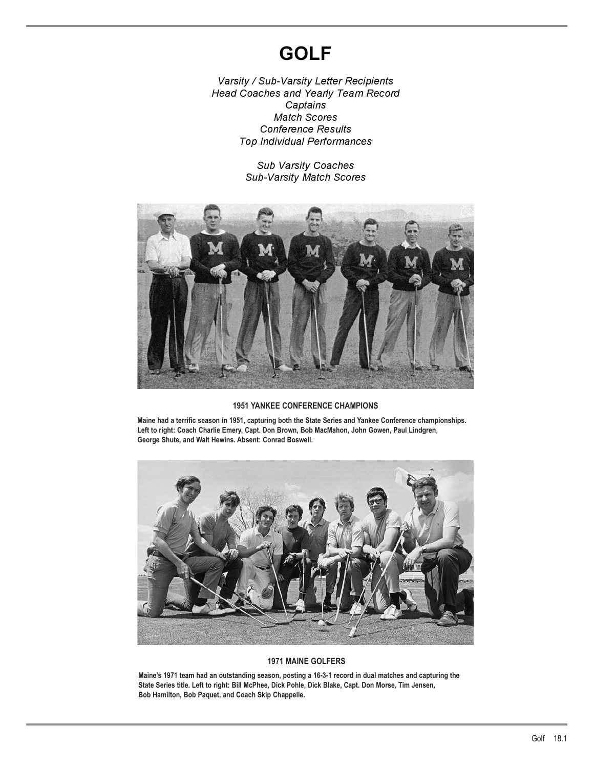# **GOLF**

*Varsity / Sub-Varsity Letter Recipients Head Coaches and Yearly Team Record Captains Match Scores Conference Results Top Individual Performances*

> *Sub Varsity Coaches Sub-Varsity Match Scores*



### **1951 YANKEE CONFERENCE CHAMPIONS**

**Maine had a terrific season in 1951, capturing both the State Series and Yankee Conference championships. Left to right: Coach Charlie Emery, Capt. Don Brown, Bob MacMahon, John Gowen, Paul Lindgren, George Shute, and Walt Hewins. Absent: Conrad Boswell.**



### **1971 MAINE GOLFERS**

**Maine's 1971 team had an outstanding season, posting a 16-3-1 record in dual matches and capturing the State Series title. Left to right: Bill McPhee, Dick Pohle, Dick Blake, Capt. Don Morse, Tim Jensen, Bob Hamilton, Bob Paquet, and Coach Skip Chappelle.**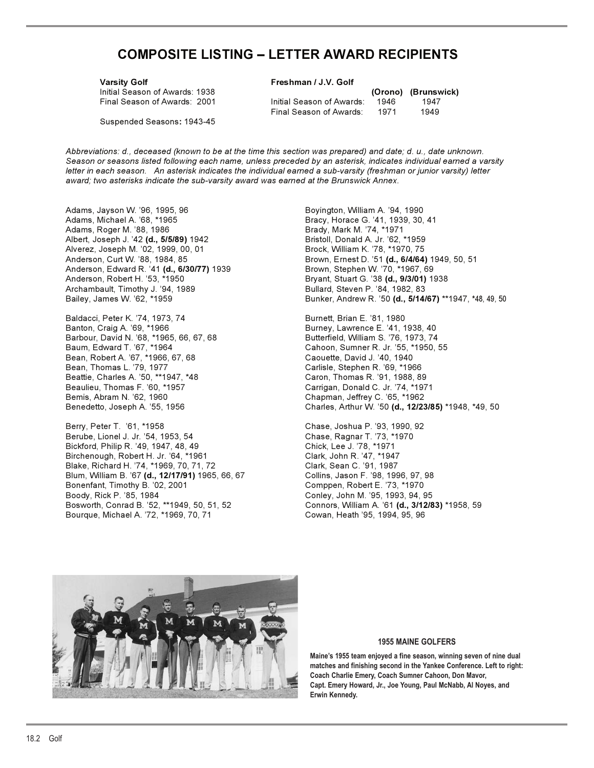## **COMPOSITE LISTING – LETTER AWARD RECIPIENTS**

Suspended Seasons**:** 1943-45

Varsity Golf **Freshman / J.V. Golf** 

Initial Season of Awards: 1938 **(Orono) (Brunswick)** Final Season of Awards: 2001 Initial Season of Awards: 1946 1947 Final Season of Awards: 1971 1949

*Abbreviations: d., deceased (known to be at the time this section was prepared) and date; d. u., date unknown. Season or seasons listed following each name, unless preceded by an asterisk, indicates individual earned a varsity letter in each season. An asterisk indicates the individual earned a sub-varsity (freshman or junior varsity) letter award; two asterisks indicate the sub-varsity award was earned at the Brunswick Annex.*

Adams, Jayson W. '96, 1995, 96 Boyington, William A. '94, 1990 Adams, Michael A. '68, \*1965 Bracy, Horace G. '41, 1939, 30, 41 Adams, Roger M. '88, 1986 Brady, Mark M. '74, \*1971 Albert, Joseph J. '42 **(d., 5/5/89)** 1942 Bristoll, Donald A. Jr. '62, \*1959 Alverez, Joseph M. '02, 1999, 00, 01 Anderson, Edward R. '41 **(d., 6/30/77)** 1939 Anderson, Robert H. '53, \*1950 Bryant, Stuart G. '38 **(d., 9/3/01)** 1938 Archambault, Timothy J. '94, 1989 **Bullard, Steven P. '84, 1982, 83** 

Baldacci, Peter K. '74, 1973, 74 Burnett, Brian E. '81, 1980 Banton, Craig A. '69, \*1966 **Burney, Lawrence E. '41, 1938, 40** Barbour, David N. '68, \*1965, 66, 67, 68 Butterfield, William S. '76, 1973, 74 Bean, Robert A. '67, \*1966, 67, 68 Caouette, David J. '40, 1940 Beattie, Charles A. '50, \*\*1947, \*48 Caron, Thomas R. '91, 1988, 89 Bemis, Abram N. '62, 1960 Chapman, Jeffrey C. '65, \*1962

Berry, Peter T. '61, \*1958 Chase, Joshua P. '93, 1990, 92 Berube, Lionel J. Jr. '54, 1953, 54 Chase, Ragnar T. '73, \*1970 Bickford, Philip R. '49, 1947, 48, 49 Birchenough, Robert H. Jr. '64, \*1961 Clark, John R. '47, \*1947 Blake, Richard H. '74, \*1969, 70, 71, 72 Clark, Sean C. '91, 1987 Blum, William B. '67 **(d., 12/17/91)** 1965, 66, 67 Collins, Jason F. '98, 1996, 97, 98 Bonenfant, Timothy B. '02, 2001 Comppen, Robert E. '73, \*1970 Bosworth, Conrad B. '52, \*\*1949, 50, 51, 52 Connors, William A. '61 **(d., 3/12/83)** \*1958, 59 Bourque, Michael A. '72, \*1969, 70, 71 Cowan, Heath '95, 1994, 95, 96

Anderson, Curt W. '88, 1984, 85 Brown, Ernest D. '51 **(d., 6/4/64)** 1949, 50, 51 Bailey, James W. '62, \*1959 **Bunker, Andrew R. '50 <b>(d., 5/14/67)** \*\*1947, \*48, 49, 50

Cahoon, Sumner R. Jr. '55, \*1950, 55 Carlisle, Stephen R. '69, \*1966 Carrigan, Donald C. Jr. '74, \*1971 Benedetto, Joseph A. '55, 1956 Charles, Arthur W. '50 **(d., 12/23/85)** \*1948, \*49, 50

Conley, John M. '95, 1993, 94, 95



### **1955 MAINE GOLFERS**

**Maine's 1955 team enjoyed a fine season, winning seven of nine dual matches and finishing second in the Yankee Conference. Left to right: Coach Charlie Emery, Coach Sumner Cahoon, Don Mavor, Capt. Emery Howard, Jr., Joe Young, Paul McNabb, Al Noyes, and Erwin Kennedy.**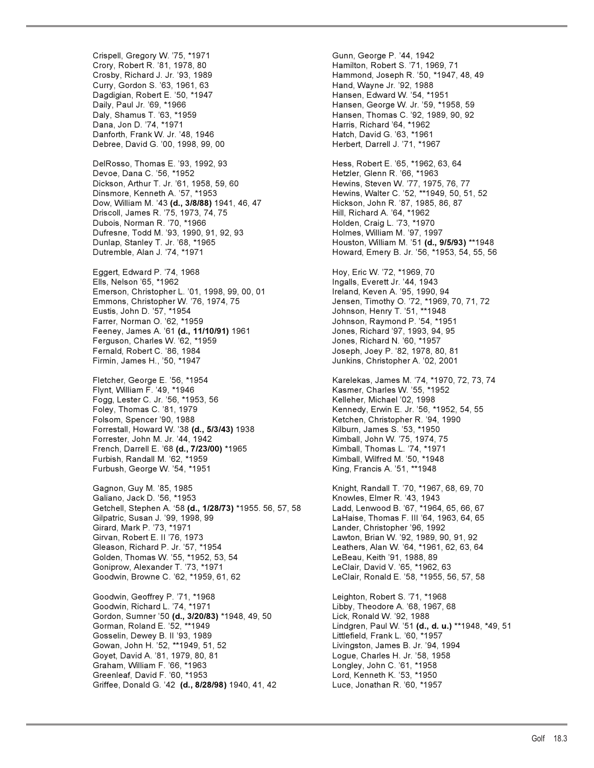Crispell, Gregory W. '75, \*1971 Gunn, George P. '44, 1942 Crory, Robert R. '81, 1978, 80 Hamilton, Robert S. '71, 1969, 71 Crosby, Richard J. Jr. '93, 1989 Hammond, Joseph R. '50, \*1947, 48, 49 Curry, Gordon S. '63, 1961, 63 Dagdigian, Robert E. '50, \*1947 **Hansen, Edward W. '54, \*1951** Daily, Paul Jr. '69, \*1966 Hansen, George W. Jr. '59, \*1958, 59 Daly, Shamus T. '63, \*1959 Hansen, Thomas C. '92, 1989, 90, 92 Dana, Jon D. '74, \*1971 **Harris, Richard '64, \*1962** Danforth, Frank W. Jr. '48, 1946<br>Debree, David G. '00, 1998, 99, 00 Debree, David G. '00, 1998, 99, 00 DelRosso, Thomas E. '93, 1992, 93 Hess, Robert E. '65, \*1962, 63, 64 Devoe, Dana C. '56, \*1952 Hetzler, Glenn R. '66, \*1963 Dickson, Arthur T. Jr. '61, 1958, 59, 60 Hewins, Steven W. '77, 1975, 76, 77 Dow, William M. '43 **(d., 3/8/88)** 1941, 46, 47 Hickson, John R. '87, 1985, 86, 87 Driscoll, James R. '75, 1973, 74, 75 Hill, Richard A. '64, \*1962 Dubois, Norman R. '70, \*1966 Dufresne, Todd M. '93, 1990, 91, 92, 93 Holmes, William M. '97, 1997 Dunlap, Stanley T. Jr. '68, \*1965 Houston, William M. '51 **(d., 9/5/93)** \*\*1948 Dutremble, Alan J. '74, \*1971 Howard, Emery B. Jr. '56, \*1953, 54, 55, 56 Eggert, Edward P. '74, 1968 **Hoy, Eric W. '72, \*1969, 70** Ells, Nelson '65, \*1962 Ingalls, Everett Jr. '44, 1943 Emerson, Christopher L. '01, 1998, 99, 00, 01 Ireland, Keven A. '95, 1990, 94 Emmons, Christopher W. '76, 1974, 75 Jensen, Timothy O. '72, \*1969, 70, 71, 72 Farrer, Norman O. '62, \*1959<br>Feeney, James A. '61 **(d., 11/10/91)** 1961 Jones, Richard '97, 1993, 94, 95 Feeney, James A. '61 (d., 11/10/91) 1961 Ferguson, Charles W. '62, \*1959 Jones, Richard N. '60, \*1957 Firmin, James H., '50, \*1947 Junkins, Christopher A. '02, 2001 Fletcher, George E. '56, \*1954 Karelekas, James M. '74, \*1970, 72, 73, 74 Fogg, Lester C. Jr. '56, \*1953, 56 Kelleher, Michael '02, 1998<br>Foley, Thomas C. '81, 1979 Kennedy, Erwin E. Jr. '56, \* Folsom, Spencer '90, 1988 Ketchen, Christopher R. '94, 1990 Forrestall, Howard W. '38 **(d., 5/3/43)** 1938 Kilburn, James S. '53, \*1950 Forrester, John M. Jr. '44, 1942 Kimball, John W. '75, 1974, 75 French, Darrell E. '68 **(d., 7/23/00)** \*1965 Kimball, Thomas L. '74, \*1971 Furbish, Randall M. '62, \*1959 Furbush, George W. '54, \*1951 King, Francis A. '51, \*\*1948 Gagnon, Guy M. '85, 1985 Knight, Randall T. '70, \*1967, 68, 69, 70 Galiano, Jack D. '56, \*1953 Knowles, Elmer R. '43, 1943 Getchell, Stephen A. '58 **(d., 1/28/73)** \*1955. 56, 57, 58 Ladd, Lenwood B. '67, \*1964, 65, 66, 67 Girard, Mark P. '73, \*1971 Lander, Christopher '96, 1992 Gleason, Richard P. Jr. '57, \*1954 Leathers, Alan W. '64, \*1961, 62, 63, 64 Golden, Thomas W. '55, \*1952, 53, 54 LeBeau, Keith '91, 1988, 89 Goniprow, Alexander T. '73, \*1971 LeClair, David V. '65, \*1962, 63 Goodwin, Geoffrey P. '71, \*1968 Leighton, Robert S. '71, \*1968 Goodwin, Richard L. '74, \*1971 Libby, Theodore A. '68, 1967, 68 Gordon, Sumner '50 **(d., 3/20/83)** \*1948, 49, 50 Lick, Ronald W. '92, 1988 Gorman, Roland E. '52, \*\*1949 Lindgren, Paul W. '51 **(d., d. u.)** \*\*1948, \*49, 51 Gosselin, Dewey B. II '93, 1989 Gowan, John H. '52, \*\*1949, 51, 52 Livingston, James B. Jr. '94, 1994 Goyet, David A. '81, 1979, 80, 81 Graham, William F. '66, \*1963 Longley, John C. '61, \*1958 Greenleaf, David F. '60, \*1953 Lord, Kenneth K. '53, \*1950 Griffee, Donald G. '42 **(d., 8/28/98)** 1940, 41, 42 Luce, Jonathan R. '60, \*1957

Hewins, Walter C. '52, \*\*1949, 50, 51, 52<br>Hickson, John R. '87, 1985, 86, 87 Johnson, Henry T. '51, \*\*1948 Joseph, Joey P. '82, 1978, 80, 81 Kasmer, Charles W. '55, \*1952 Kennedy, Erwin E. Jr. '56, \*1952, 54, 55 LaHaise, Thomas F. III '64, 1963, 64, 65 Lawton, Brian W. '92, 1989, 90, 91, 92 LeClair, Ronald E. '58, \*1955, 56, 57, 58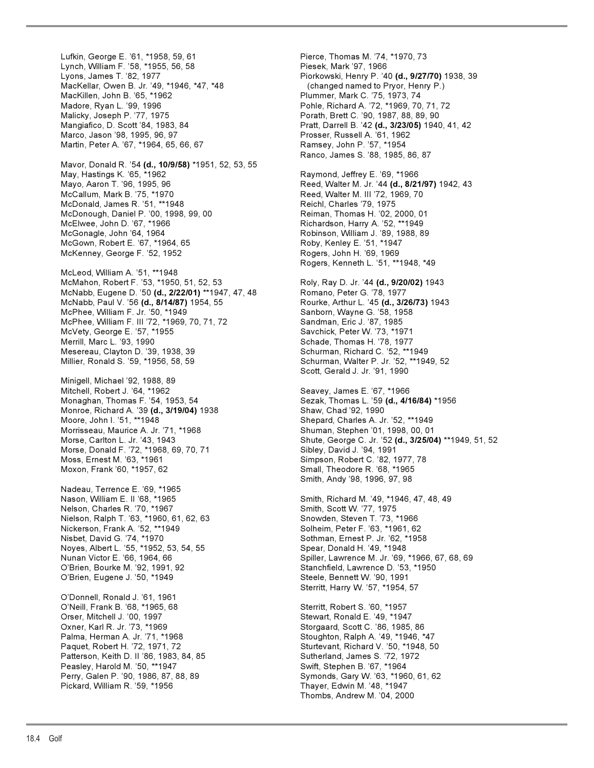Lufkin, George E. '61, \*1958, 59, 61 Pierce, Thomas M. '74, \*1970, 73 Lynch, William F. '58, \*1955, 56, 58 Piesek, Mark '97, 1966 Lyons, James T. '82, 1977 Piorkowski, Henry P. '40 **(d., 9/27/70)** 1938, 39 MacKellar, Owen B. Jr. '49, \*1946, \*47, \*48 (changed named to Pryor, Henry P.) MacKillen, John B. '65, \*1962<br>Madore, Ryan L. '99, 1996 Philip Pohle, Richard A. '72, \*1969, 70 Malicky, Joseph P. '77, 1975 Porath, Brett C. '90, 1987, 88, 89, 90 Mangiafico, D. Scott '84, 1983, 84 Pratt, Darrell B. '42 **(d., 3/23/05)** 1940, 41, 42 Marco, Jason '98, 1995, 96, 97 Prosser, Russell A. '61, 1962 Martin, Peter A. '67, \*1964, 65, 66, 67 Ramsey, John P. '57, \*1954 Mavor, Donald R. '54 **(d., 10/9/58)** \*1951, 52, 53, 55 May, Hastings K. '65, \*1962 Raymond, Jeffrey E. '69, \*1966 McCallum, Mark B. '75, \*1970 **Reed, Walter M. III '72, 1969, 70** McDonald, James R. '51, \*\*1948 Reichl, Charles '79, 1975 McDonough, Daniel P. '00, 1998, 99, 00 Reiman, Thomas H. '02, 2000, 01 McGonagle, John '64, 1964 Robinson, William J. '89, 1988, 89 McGown, Robert E. '67, \*1964, 65 Roby, Kenley E. '51, \*1947 McKenney, George F. '52, 1952 Rogers, John H. '69, 1969 McLeod, William A. '51, \*\*1948 McMahon, Robert F. '53, \*1950, 51, 52, 53 Roly, Ray D. Jr. '44 **(d., 9/20/02)** 1943 McNabb, Eugene D. '50 (d., 2/22/01) \*\*1947, 47, 48 McNabb, Paul V. '56 **(d., 8/14/87)** 1954, 55 Rourke, Arthur L. '45 **(d., 3/26/73)** 1943 McPhee, William F. Jr. '50, \*1949 Sanborn, Wayne G. '58, 1958 McPhee, William F. III '72, \*1969, 70, 71, 72 Sandman, Eric J. '87, 1985 McVety, George E. '57, \*1955 Savchick, Peter W. '73, \*1971 Merrill, Marc L. '93, 1990<br>Mesereau, Clayton D. '39, 1938, 39 Schurman, Richard C. '52, \*\*1949 Mesereau, Clayton D. '39, 1938, 39 Millier, Ronald S. '59, \*1956, 58, 59 Schurman, Walter P. Jr. '52, \*\*1949, 52 Minigell, Michael '92, 1988, 89 Mitchell, Robert J. '64, \*1962 Seavey, James E. '67, \*1966 Monaghan, Thomas F. '54, 1953, 54 Sezak, Thomas L. '59 **(d., 4/16/84)** \*1956<br>Monroe, Richard A. '39 **(d., 3/19/04)** 1938 Shaw, Chad '92, 1990 Monroe, Richard A. '39 (d., 3/19/04) 1938 Moore, John I. '51, \*\*1948 Shepard, Charles A. Jr. '52, \*\*1949 Morrisseau, Maurice A. Jr. '71, \*1968 Shuman, Stephen '01, 1998, 00, 01 Morse, Carlton L. Jr. '43, 1943 Shute, George C. Jr. '52 **(d., 3/25/04)** \*\*1949, 51, 52 Morse, Donald F. '72, \*1968, 69, 70, 71 Sibley, David J. '94, 1991 Moxon, Frank '60, \*1957, 62 Small, Theodore R. '68, \*1965 Nadeau, Terrence E. '69, \*1965 Nason, William E. II '68, \*1965 Smith, Richard M. '49, \*1946, 47, 48, 49 Nelson, Charles R. '70, \*1967 Smith, Scott W. '77, 1975 Nielson, Ralph T. '63, \*1960, 61, 62, 63 Snowden, Steven T. '73, \*1966 Nickerson, Frank A. '52, \*\*1949 Solheim, Peter F. '63, \*1961, 62 Nisbet, David G. '74, \*1970 Sothman, Ernest P. Jr. '62, \*1958 Noyes, Albert L. '55, \*1952, 53, 54, 55 Spear, Donald H. '49, \*1948 Nunan Victor E. '66, 1964, 66 Spiller, Lawrence M. Jr. '69, \*1966, 67, 68, 69 O'Brien, Bourke M. '92, 1991, 92 Stanchfield, Lawrence D. '53, \*1950 O'Brien, Eugene J. '50, \*1949 Steele, Bennett W. '90, 1991 O'Donnell, Ronald J. '61, 1961 O'Neill, Frank B. '68, \*1965, 68 Sterritt, Robert S. '60, \*1957 Orser, Mitchell J. '00, 1997 Stewart, Ronald E. '49, \*1947 Oxner, Karl R. Jr. '73, \*1969 Storgaard, Scott C. '86, 1985, 86 Palma, Herman A. Jr. '71, \*1968 Stoughton, Ralph A. '49, \*1946, \*47 Paquet, Robert H. '72, 1971, 72 Sturtevant, Richard V. '50, \*1948, 50 Patterson, Keith D. II '86, 1983, 84, 85 Sutherland, James S. '72, 1972 Peasley, Harold M. '50, \*\*1947 Swift, Stephen B. '67, \*1964 Perry, Galen P. '90, 1986, 87, 88, 89 Symonds, Gary W. '63, \*1960, 61, 62 Pickard, William R. '59, \*1956 Thayer, Edwin M. '48, \*1947

Pohle, Richard A. '72, \*1969, 70, 71, 72 Ranco, James S. '88, 1985, 86, 87 Reed, Walter M. Jr. '44 (d., 8/21/97) 1942, 43 Richardson, Harry A. '52, \*\*1949 Rogers, Kenneth L. '51, \*\*1948, \*49 Scott, Gerald J. Jr. '91, 1990 Simpson, Robert C. '82, 1977, 78 Smith, Andy '98, 1996, 97, 98 Sterritt, Harry W. '57, \*1954, 57 Thombs, Andrew M. '04, 2000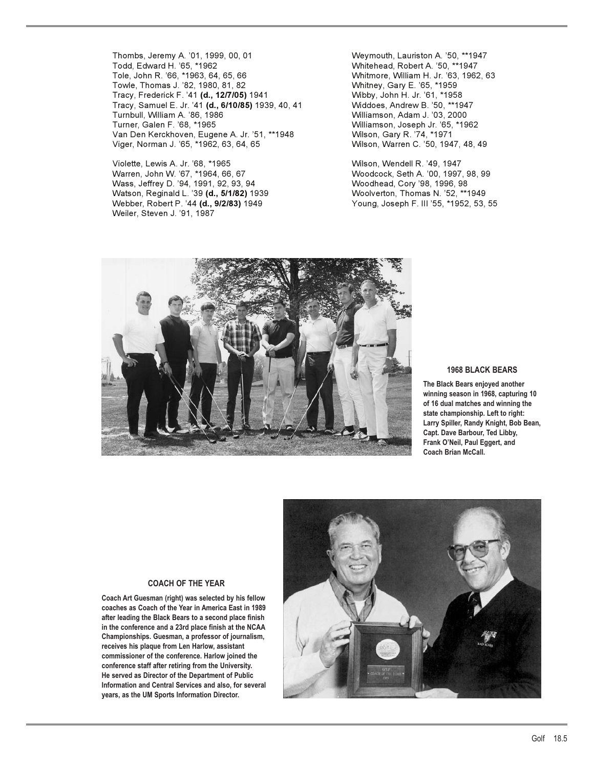Thombs, Jeremy A. '01, 1999, 00, 01 Weymouth, Lauriston A. '50, \*\*1947 Todd, Edward H. '65, \*1962 Whitehead, Robert A. '50, \*\*1947 Towle, Thomas J. '82, 1980, 81, 82 Tracy, Frederick F. '41 **(d., 12/7/05)** 1941 Wibby, John H. Jr. '61, \*1958 Tracy, Samuel E. Jr. '41 **(d., 6/10/85)** 1939, 40, 41 Widdoes, Andrew B. '50, \*\*1947 Turnbull, William A. '86, 1986 Williamson, Adam J. '03, 2000 Turner, Galen F. '68, \*1965 Williamson, Joseph Jr. '65, \*1962 Van Den Kerckhoven, Eugene A. Jr. '51, \*\*1948 Viger, Norman J. '65, \*1962, 63, 64, 65 Wilson, Warren C. '50, 1947, 48, 49

Violette, Lewis A. Jr. '68, \*1965 Wilson, Wendell R. '49, 1947 Warren, John W. '67, \*1964, 66, 67 Woodcock, Seth A. '00, 1997, 98, 99 Wass, Jeffrey D. '94, 1991, 92, 93, 94 Woodhead, Cory '98, 1996, 98<br>Watson, Reginald L. '39 **(d., 5/1/82)** 1939 Woolverton, Thomas N. '52, \*\*1949 Watson, Reginald L. '39 **(d., 5/1/82)** 1939 Webber, Robert P. '44 **(d., 9/2/83)** 1949 Young, Joseph F. III '55, \*1952, 53, 55 Weiler, Steven J. '91, 1987

Whitmore, William H. Jr. '63, 1962, 63<br>Whitney, Gary E. '65, \*1959



### **1968 BLACK BEARS**

**The Black Bears enjoyed another winning season in 1968, capturing 10 of 16 dual matches and winning the state championship. Left to right: Larry Spiller, Randy Knight, Bob Bean, Capt. Dave Barbour, Ted Libby, Frank O'Neil, Paul Eggert, and Coach Brian McCall.**

### **COACH OF THE YEAR**

**Coach Art Guesman (right) was selected by his fellow coaches as Coach of the Year in America East in 1989 after leading the Black Bears to a second place finish in the conference and a 23rd place finish at the NCAA Championships. Guesman, a professor of journalism, receives his plaque from Len Harlow, assistant commissioner of the conference. Harlow joined the conference staff after retiring from the University. He served as Director of the Department of Public Information and Central Services and also, for several years, as the UM Sports Information Director.**

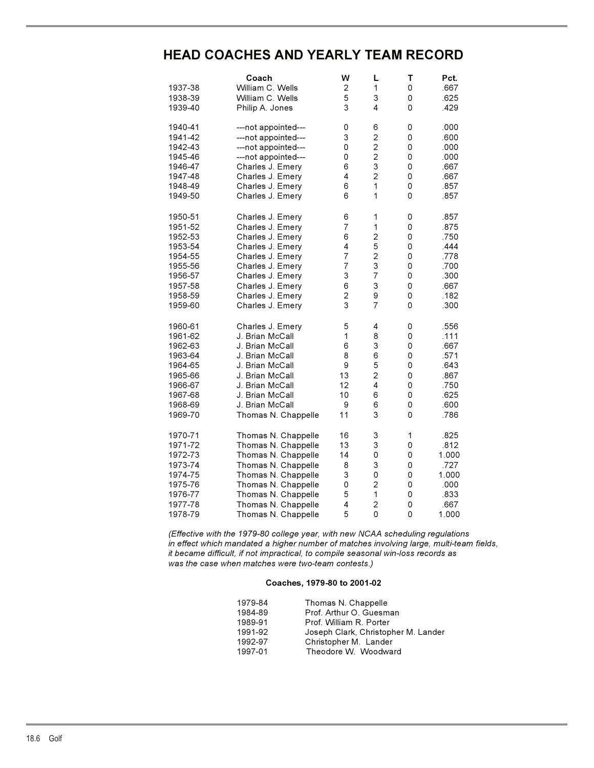## **HEAD COACHES AND YEARLY TEAM RECORD**

|         | Coach               | W                        | L              | T                   | Pct.  |
|---------|---------------------|--------------------------|----------------|---------------------|-------|
| 1937-38 | William C. Wells    | 2                        | 1              | $\mathsf 0$         | .667  |
| 1938-39 | William C. Wells    | 5                        | 3              | 0                   | .625  |
| 1939-40 | Philip A. Jones     | 3                        | 4              | 0                   | .429  |
|         |                     |                          |                |                     |       |
| 1940-41 | ---not appointed--- | 0                        | 6              | 0                   | .000  |
| 1941-42 | ---not appointed--- | 3                        | $\overline{c}$ | $\mathsf 0$         | .600  |
| 1942-43 | ---not appointed--- | 0                        | $\mathbf 2$    | 0                   | .000  |
| 1945-46 | ---not appointed--- | 0                        | $\mathbf 2$    | 0                   | .000  |
| 1946-47 | Charles J. Emery    | 6                        | 3              | 0                   | .667  |
| 1947-48 | Charles J. Emery    | 4                        | $\overline{c}$ | $\mathsf 0$         | .667  |
| 1948-49 | Charles J. Emery    | 6                        | 1              | 0                   | .857  |
| 1949-50 | Charles J. Emery    | 6                        | 1              | 0                   | .857  |
| 1950-51 | Charles J. Emery    | 6                        | 1              | 0                   | .857  |
| 1951-52 | Charles J. Emery    | $\overline{7}$           | 1              | $\mathsf 0$         | .875  |
| 1952-53 | Charles J. Emery    | 6                        | $\overline{c}$ | 0                   | .750  |
| 1953-54 | Charles J. Emery    | 4                        | 5              | $\mathsf 0$         | .444  |
| 1954-55 | Charles J. Emery    | $\overline{7}$           | $\overline{c}$ | $\mathsf 0$         | .778  |
| 1955-56 | Charles J. Emery    | $\overline{\mathcal{I}}$ | 3              | $\mathsf 0$         | .700  |
| 1956-57 | Charles J. Emery    | 3                        | $\overline{7}$ | 0                   | .300  |
| 1957-58 | Charles J. Emery    | 6                        | 3              | $\mathsf{O}\xspace$ | .667  |
|         |                     | $\overline{\mathbf{c}}$  | 9              | $\mathsf 0$         | .182  |
| 1958-59 | Charles J. Emery    |                          |                |                     |       |
| 1959-60 | Charles J. Emery    | 3                        | $\overline{7}$ | $\Omega$            | .300  |
| 1960-61 | Charles J. Emery    | 5                        | 4              | 0                   | .556  |
| 1961-62 | J. Brian McCall     | 1                        | 8              | $\mathsf{O}\xspace$ | .111  |
| 1962-63 | J. Brian McCall     | 6                        | 3              | 0                   | .667  |
| 1963-64 | J. Brian McCall     | 8                        | 6              | 0                   | .571  |
| 1964-65 | J. Brian McCall     | 9                        | 5              | $\mathsf 0$         | .643  |
| 1965-66 | J. Brian McCall     | 13                       | $\overline{c}$ | $\mathsf 0$         | .867  |
| 1966-67 | J. Brian McCall     | 12                       | 4              | $\mathsf 0$         | .750  |
| 1967-68 | J. Brian McCall     | 10                       | 6              | $\mathbf 0$         | .625  |
| 1968-69 | J. Brian McCall     | 9                        | 6              | 0                   | .600  |
| 1969-70 | Thomas N. Chappelle | 11                       | 3              | 0                   | .786  |
| 1970-71 | Thomas N. Chappelle | 16                       | 3              | 1                   | .825  |
| 1971-72 | Thomas N. Chappelle | 13                       | 3              | 0                   | .812  |
| 1972-73 | Thomas N. Chappelle | 14                       | $\mathsf 0$    | 0                   | 1.000 |
| 1973-74 |                     | 8                        | 3              | $\mathsf 0$         | .727  |
| 1974-75 | Thomas N. Chappelle | 3                        | 0              | $\mathsf 0$         | 1.000 |
|         | Thomas N. Chappelle |                          | $\overline{c}$ |                     |       |
| 1975-76 | Thomas N. Chappelle | 0                        |                | 0                   | .000  |
| 1976-77 | Thomas N. Chappelle | 5                        | 1              | $\mathsf{O}\xspace$ | .833  |
| 1977-78 | Thomas N. Chappelle | 4                        | $\overline{c}$ | $\mathsf 0$         | .667  |
| 1978-79 | Thomas N. Chappelle | 5                        | 0              | 0                   | 1.000 |

*(Effective with the 1979-80 college year, with new NCAA scheduling regulations in effect which mandated a higher number of matches involving large, multi-team fields, it became difficult, if not impractical, to compile seasonal win-loss records as was the case when matches were two-team contests.)*

### **Coaches, 1979-80 to 2001-02**

| 1979-84 | Thomas N. Chappelle                 |
|---------|-------------------------------------|
| 1984-89 | Prof. Arthur O. Guesman             |
| 1989-91 | Prof. William R. Porter             |
| 1991-92 | Joseph Clark, Christopher M. Lander |
| 1992-97 | Christopher M. Lander               |
| 1997-01 | Theodore W. Woodward                |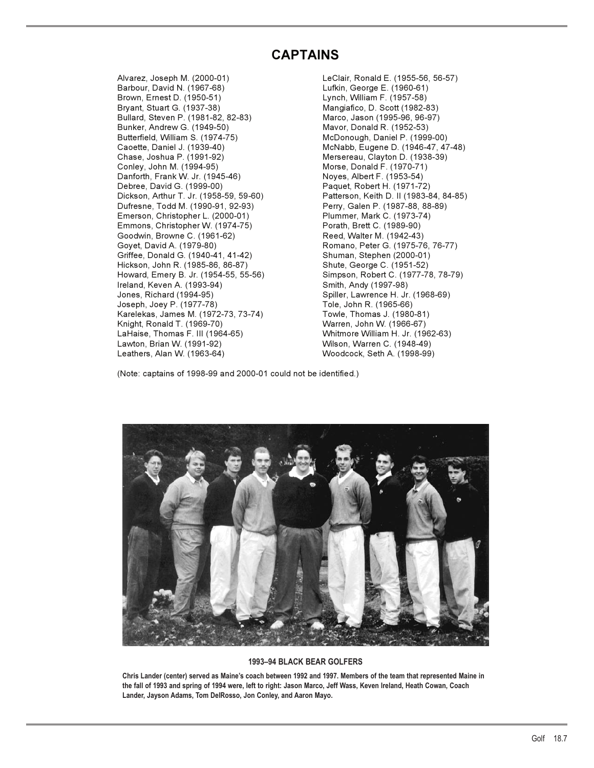## **CAPTAINS**

Alvarez, Joseph M. (2000-01) LeClair, Ronald E. (1955-56, 56-57) Brown, Ernest D. (1950-51) Lynch, William F. (1957-58) Bullard, Steven P. (1981-82, 82-83) Marco, Jason (1995-96, 96-97) Bunker, Andrew G. (1949-50) Mavor, Donald R. (1952-53) Butterfield, William S. (1974-75) McDonough, Daniel P. (1999-00) Chase, Joshua P. (1991-92) Mersereau, Clayton D. (1938-39) Danforth, Frank W. Jr. (1945-46) Noyes, Albert F. (1953-54) Debree, David G. (1999-00) Paquet, Robert H. (1971-72) Dickson, Arthur T. Jr. (1958-59, 59-60) Patterson, Keith D. II (1983-84, 84-85) Dufresne, Todd M. (1990-91, 92-93) Perry, Galen P. (1987-88, 88-89) Emerson, Christopher L. (2000-01) Emmons, Christopher W. (1974-75) Porath, Brett C. (1989-90)<br>Goodwin, Browne C. (1961-62) Reed, Walter M. (1942-43) Goodwin, Browne C. (1961-62) Goyet, David A. (1979-80) Romano, Peter G. (1975-76, 76-77) Griffee, Donald G. (1940-41, 41-42) Shuman, Stephen (2000-01) Hickson, John R. (1985-86, 86-87) Shute, George C. (1951-52) Howard, Emery B. Jr. (1954-55, 55-56) Simpson, Robert C. (1977-78, 78-79) Ireland, Keven A. (1993-94) Smith, Andy (1997-98) Joseph, Joey P. (1977-78) Tole, John R. (1965-66) Karelekas, James M. (1972-73, 73-74) Towle, Thomas J. (1980-81) Knight, Ronald T. (1969-70) Warren, John W. (1966-67) LaHaise, Thomas F. III (1964-65) Whitmore William H. Jr. (1962-63) Lawton, Brian W. (1991-92) Wilson, Warren C. (1948-49)

Lufkin, George E. (1960-61) Mangiafico, D. Scott (1982-83) McNabb, Eugene D. (1946-47, 47-48) Morse, Donald F. (1970-71) Spiller, Lawrence H. Jr. (1968-69) Woodcock, Seth A. (1998-99)

(Note: captains of 1998-99 and 2000-01 could not be identified.)



### **1993–94 BLACK BEAR GOLFERS**

**Chris Lander (center) served as Maine's coach between 1992 and 1997. Members of the team that represented Maine in the fall of 1993 and spring of 1994 were, left to right: Jason Marco, Jeff Wass, Keven Ireland, Heath Cowan, Coach Lander, Jayson Adams, Tom DelRosso, Jon Conley, and Aaron Mayo.**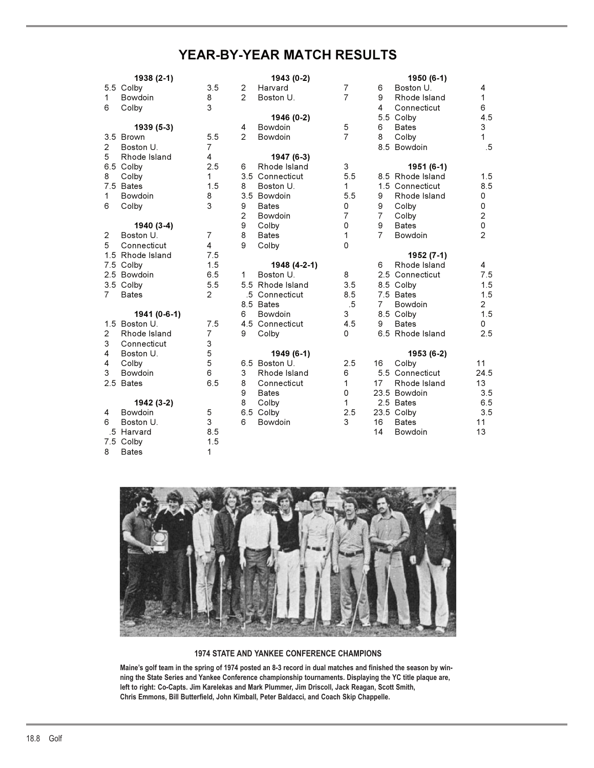## **YEAR-BY-YEAR MATCH RESULTS**

|                | 1938 (2-1)       |                |                | 1943 (0-2)       |                |                | 1950 (6-1)       |                |
|----------------|------------------|----------------|----------------|------------------|----------------|----------------|------------------|----------------|
|                | 5.5 Colby        | 3.5            | $\overline{c}$ | Harvard          | $\overline{7}$ | 6              | Boston U.        | 4              |
| 1              | Bowdoin          | 8              | 2              | Boston U.        | $\overline{7}$ | 9              | Rhode Island     | $\mathbf{1}$   |
| 6              | Colby            | 3              |                |                  |                | 4              | Connecticut      | 6              |
|                |                  |                |                | 1946 (0-2)       |                |                | 5.5 Colby        | 4.5            |
|                | 1939 (5-3)       |                | 4              | Bowdoin          | 5              | 6              | <b>Bates</b>     | 3              |
|                | 3.5 Brown        | 5.5            | 2              | Bowdoin          | $\overline{7}$ | 8              | Colby            | 1              |
| $\overline{2}$ | Boston U.        | 7              |                |                  |                |                | 8.5 Bowdoin      | $.5\,$         |
| 5              | Rhode Island     | 4              |                | 1947 (6-3)       |                |                |                  |                |
|                | 6.5 Colby        | 2.5            | 6              | Rhode Island     | 3              |                | 1951 (6-1)       |                |
| 8              | Colby            | $\mathbf{1}$   |                | 3.5 Connecticut  | 5.5            |                | 8.5 Rhode Island | 1.5            |
|                | 7.5 Bates        | 1.5            | 8              | Boston U.        | 1              |                | 1.5 Connecticut  | 8.5            |
| 1              | Bowdoin          | 8              |                | 3.5 Bowdoin      | 5.5            | 9              | Rhode Island     | 0              |
| 6              | Colby            | 3              | 9              | <b>Bates</b>     | 0              | 9              | Colby            | 0              |
|                |                  |                | 2              | Bowdoin          | $\overline{7}$ | $\overline{7}$ | Colby            | $\mathbf 2$    |
|                | 1940 (3-4)       |                | 9              | Colby            | 0              | 9              | <b>Bates</b>     | 0              |
| $\overline{2}$ | Boston U.        | $\overline{7}$ | 8              | <b>Bates</b>     | 1              | $\overline{7}$ | Bowdoin          | $\overline{2}$ |
| 5              | Connecticut      | $\overline{4}$ | 9              | Colby            | 0              |                |                  |                |
|                | 1.5 Rhode Island | 7.5            |                |                  |                |                | 1952 (7-1)       |                |
|                | 7.5 Colby        | 1.5            |                | 1948 (4-2-1)     |                | 6              | Rhode Island     | 4              |
|                | 2.5 Bowdoin      | 6.5            | 1.             | Boston U.        | 8              |                | 2.5 Connecticut  | 7.5            |
|                | 3.5 Colby        | 5.5            |                | 5.5 Rhode Island | 3.5            |                | 8.5 Colby        | 1.5            |
| $\overline{7}$ | <b>Bates</b>     | $\overline{2}$ |                | .5 Connecticut   | 8.5            |                | 7.5 Bates        | 1.5            |
|                |                  |                |                | 8.5 Bates        | $.5\,$         | 7              | Bowdoin          | $\overline{2}$ |
|                | 1941 (0-6-1)     |                | 6              | Bowdoin          | 3              |                | 8.5 Colby        | 1.5            |
|                | 1.5 Boston U.    | 7.5            |                | 4.5 Connecticut  | 4.5            | 9              | <b>Bates</b>     | 0              |
| 2              | Rhode Island     | $\overline{7}$ | 9              | Colby            | 0              |                | 6.5 Rhode Island | 2.5            |
| 3              | Connecticut      | 3              |                |                  |                |                |                  |                |
| 4              | Boston U.        | 5              |                | 1949 (6-1)       |                |                | 1953 (6-2)       |                |
| 4              | Colby            | 5              |                | 6.5 Boston U.    | 2.5            | 16             | Colby            | 11             |
| 3              | Bowdoin          | 6              | 3              | Rhode Island     | 6              |                | 5.5 Connecticut  | 24.5           |
|                | 2.5 Bates        | 6.5            | 8              | Connecticut      | 1              | 17             | Rhode Island     | 13             |
|                |                  |                | 9              | <b>Bates</b>     | 0              |                | 23.5 Bowdoin     | 3.5            |
|                | 1942 (3-2)       |                | 8              | Colby            | 1              |                | 2.5 Bates        | 6.5            |
| 4              | Bowdoin          | 5              |                | 6.5 Colby        | 2.5            |                | 23.5 Colby       | 3.5            |
| 6              | Boston U.        | 3              | 6              | Bowdoin          | 3              | 16             | <b>Bates</b>     | 11             |
|                | .5 Harvard       | 8.5            |                |                  |                | 14             | Bowdoin          | 13             |
|                | 7.5 Colby        | 1.5            |                |                  |                |                |                  |                |
| 8              | <b>Bates</b>     | 1              |                |                  |                |                |                  |                |



### **1974 STATE AND YANKEE CONFERENCE CHAMPIONS**

**Maine's golf team in the spring of 1974 posted an 8-3 record in dual matches and finished the season by winning the State Series and Yankee Conference championship tournaments. Displaying the YC title plaque are, left to right: Co-Capts. Jim Karelekas and Mark Plummer, Jim Driscoll, Jack Reagan, Scott Smith, Chris Emmons, Bill Butterfield, John Kimball, Peter Baldacci, and Coach Skip Chappelle.**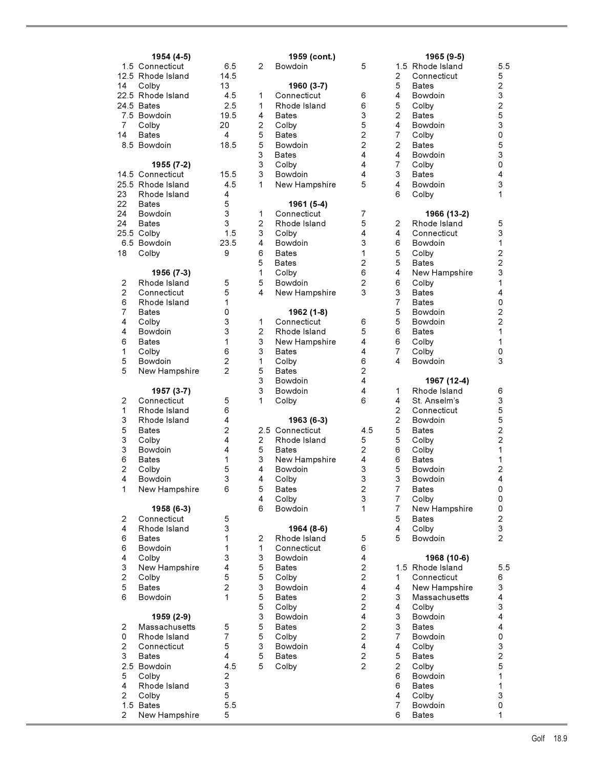|                                                                                 | 1954 (4-5)                                                                                                                                           |                                                                                                       |
|---------------------------------------------------------------------------------|------------------------------------------------------------------------------------------------------------------------------------------------------|-------------------------------------------------------------------------------------------------------|
| 14                                                                              | 1.5 Connecticut<br>12.5 Rhode Island<br>Colby<br>22.5 Rhode Island<br>24.5 Bates<br>7.5 Bowdoin                                                      | 6.5<br>14.5<br>13<br>4.5<br>2.5<br>19.5                                                               |
| 7<br>14<br>8.5                                                                  | Colby<br><b>Bates</b><br>Bowdoin                                                                                                                     | 20<br>4<br>18.5                                                                                       |
| 23<br>22<br>24<br>24<br>18                                                      | 1955 (7-2)<br>14.5 Connecticut<br>25.5 Rhode Island<br>Rhode Island<br><b>Bates</b><br>Bowdoin<br><b>Bates</b><br>25.5 Colby<br>6.5 Bowdoin<br>Colby | 15.5<br>4.5<br>4<br>5<br>3<br>3<br>1.5<br>23.5<br>9                                                   |
| $\overline{\mathbf{c}}$<br>267446<br>$\begin{array}{c} 1 \\ 5 \\ 5 \end{array}$ | 1956 (7-3)<br>Rhode Island<br>Connecticut<br>Rhode Island<br><b>Bates</b><br>Colby<br>Bowdoin<br><b>Bates</b><br>Colby<br>Bowdoin<br>New Hampshire   | 5<br>$\frac{5}{1}$<br>0331622                                                                         |
| 21353624<br>1                                                                   | 1957 (3-7)<br>Connecticut<br>Rhode Island<br>Rhode Island<br>Bates<br>Colby<br>Bowdoin<br><b>Bates</b><br>Colby<br>Bowdoin<br>New Hampshire          | 5<br>6<br>4<br>$\overline{\mathbf{c}}$<br>4<br>$\overline{\mathbf{4}}$<br>$\mathbf{1}$<br>5<br>3<br>6 |
| 246643256                                                                       | 1958 (6-3)<br>Connecticut<br>Rhode Island<br>Bates<br>Bowdoin<br>Colby<br>New Hampshire<br>Colby<br><b>Bates</b><br>Bowdoin                          | 531134521                                                                                             |
| 2 0 2 3 2 5<br>4 2 4 2 1 5<br>$\overline{2}$                                    | 1959 (2-9)<br>Massachusetts<br>Rhode Island<br>Connecticut<br>Bates<br>Bowdoin<br>Colby<br>Rhode Island<br>Colby<br>Bates<br>New Hampshire           | $\frac{5}{7}$<br>5 4 4 5<br>4 4 2 3 5 5<br>5 5 5                                                      |

|                | 1954 (4-5)        |                |                | 1959 (cont.)    |                |                         | 1965 (9-5)<br>1.5 Rhode Island |                         |
|----------------|-------------------|----------------|----------------|-----------------|----------------|-------------------------|--------------------------------|-------------------------|
|                | 1.5 Connecticut   | 6.5            | $\overline{2}$ | Bowdoin         | 5              |                         |                                | 5                       |
|                | 12.5 Rhode Island | 14.5           |                |                 |                | 2                       | Connecticut                    | 5                       |
| 14             | Colby             | 13             |                | 1960 (3-7)      |                | 5                       | <b>Bates</b>                   | $\overline{\mathbf{c}}$ |
|                | 22.5 Rhode Island | 4.5            | 1              | Connecticut     | 6              | 4                       | <b>Bowdoin</b>                 | 3                       |
|                | 24.5 Bates        | 2.5            | 1              | Rhode Island    | 6              | 5                       | Colby                          | $\overline{c}$          |
|                | 7.5 Bowdoin       | 19.5           | 4              | <b>Bates</b>    | 3              | $\overline{2}$          | <b>Bates</b>                   | 5                       |
| 7              | Colby             | 20             | $\overline{c}$ | Colby           | 5              | 4                       | <b>Bowdoin</b>                 | 3                       |
| 14             | Bates             | 4              | 5              | <b>Bates</b>    | $\overline{2}$ | 7                       | Colby                          | 0                       |
|                | 8.5 Bowdoin       | 18.5           | 5              | <b>Bowdoin</b>  | $\overline{c}$ | 2                       | <b>Bates</b>                   | 5                       |
|                |                   |                | 3              | <b>Bates</b>    | 4              | 4                       | <b>Bowdoin</b>                 | 3                       |
|                |                   |                | 3              |                 | 4              | $\overline{7}$          |                                | 0                       |
|                | 1955 (7-2)        |                |                | Colby           |                |                         | Colby                          |                         |
|                | 14.5 Connecticut  | 15.5           | 3              | Bowdoin         | 4              | 3                       | <b>Bates</b>                   | 4                       |
|                | 25.5 Rhode Island | 4.5            | 1              | New Hampshire   | 5              | 4                       | <b>Bowdoin</b>                 | 3                       |
| 23             | Rhode Island      | 4              |                |                 |                | 6                       | Colby                          | 1                       |
| 22             | <b>Bates</b>      | 5              |                | 1961 (5-4)      |                |                         |                                |                         |
| 24             | <b>Bowdoin</b>    | 3              | 1              | Connecticut     | $\overline{7}$ |                         | 1966 (13-2)                    |                         |
| 24             | Bates             | 3              | 2              | Rhode Island    | 5              | $\overline{c}$          | Rhode Island                   | 5                       |
|                | 25.5 Colby        | 1.5            | 3              | Colby           | 4              | 4                       | Connecticut                    | 3                       |
|                | 6.5 Bowdoin       | 23.5           | 4              | Bowdoin         | 3              | 6                       | Bowdoin                        | 1                       |
| 18             | Colby             | 9              | 6              | <b>Bates</b>    | 1              | 5                       | Colby                          | $\overline{c}$          |
|                |                   |                | 5              | Bates           | $\overline{2}$ | 5                       | <b>Bates</b>                   | $\overline{c}$          |
|                | 1956 (7-3)        |                | 1              | Colby           | 6              | 4                       | New Hampshire                  | 3                       |
|                |                   |                |                |                 |                |                         |                                |                         |
| 2              | Rhode Island      | 5              | 5              | Bowdoin         | 2              | 6                       | Colby                          | 1                       |
| $\overline{2}$ | Connecticut       | 5              | 4              | New Hampshire   | 3              | 3                       | <b>Bates</b>                   | 4                       |
| 6              | Rhode Island      | 1              |                |                 |                | $\overline{7}$          | <b>Bates</b>                   | 0                       |
| $\overline{7}$ | <b>Bates</b>      | 0              |                | 1962 (1-8)      |                | 5                       | <b>Bowdoin</b>                 | $\overline{c}$          |
| 4              | Colby             | 3              | 1              | Connecticut     | 6              | 5                       | Bowdoin                        | $\overline{c}$          |
| 4              | Bowdoin           | 3              | 2              | Rhode Island    | 5              | 6                       | <b>Bates</b>                   | 1                       |
| 6              | Bates             | 1              | 3              | New Hampshire   | 4              | 6                       | Colby                          | 1                       |
| 1              | Colby             | 6              | 3              | <b>Bates</b>    | 4              | $\overline{7}$          | Colby                          | 0                       |
| 5              | Bowdoin           | $\overline{c}$ | 1              | Colby           | 6              | 4                       | Bowdoin                        | 3                       |
| 5              | New Hampshire     | $\overline{2}$ | 5              | <b>Bates</b>    | 2              |                         |                                |                         |
|                |                   |                | 3              | <b>Bowdoin</b>  | 4              |                         | 1967 (12-4)                    |                         |
|                |                   |                | 3              |                 |                |                         |                                |                         |
|                | 1957 (3-7)        |                |                | <b>Bowdoin</b>  | 4              | 1                       | Rhode Island                   | 6                       |
| 2              | Connecticut       | 5              | 1              | Colby           | 6              | 4                       | St. Anselm's                   | 3                       |
| 1              | Rhode Island      | 6              |                |                 |                | $\overline{c}$          | Connecticut                    | 5                       |
| 3              | Rhode Island      | 4              |                | 1963 (6-3)      |                | $\overline{c}$          | <b>Bowdoin</b>                 | 5                       |
| 5              | Bates             | $\overline{2}$ |                | 2.5 Connecticut | 4.5            | 5                       | <b>Bates</b>                   | $\overline{c}$          |
| 3              | Colby             | 4              | 2              | Rhode Island    | 5              | 5                       | Colby                          | $\overline{c}$          |
| 3              | Bowdoin           | 4              | 5              | <b>Bates</b>    | 2              | 6                       | Colby                          | 1                       |
| 6              | Bates             | 1              | 3              | New Hampshire   | 4              | 6                       | <b>Bates</b>                   | 1                       |
| $\overline{2}$ | Colby             | 5              | 4              | Bowdoin         | 3              | 5                       | <b>Bowdoin</b>                 | $\overline{\mathbf{c}}$ |
| $\overline{4}$ | Bowdoin           | 3              | 4              | Colby           | 3              | 3                       | <b>Bowdoin</b>                 | 4                       |
| 1              | New Hampshire     | 6              | 5              | <b>Bates</b>    | $\mathbf 2$    | $\overline{7}$          | <b>Bates</b>                   | 0                       |
|                |                   |                | 4              | Colby           | 3              | $\overline{7}$          | Colby                          | 0                       |
|                | 1958 (6-3)        |                | 6              | Bowdoin         | 1              | $\overline{7}$          |                                |                         |
|                | Connecticut       |                |                |                 |                | 5                       | New Hampshire                  | 0                       |
| $\overline{2}$ |                   | 5              |                |                 |                |                         | <b>Bates</b>                   | $\overline{\mathbf{c}}$ |
| 4              | Rhode Island      | 3              |                | 1964 (8-6)      |                | $\overline{\mathbf{4}}$ | Colby                          | 3                       |
| 6              | <b>Bates</b>      | 1              | $\overline{2}$ | Rhode Island    | 5              | 5                       | Bowdoin                        | $\overline{c}$          |
| 6              | Bowdoin           | 1              | 1              | Connecticut     | 6              |                         |                                |                         |
| 4              | Colby             | 3              | 3              | Bowdoin         | 4              |                         | 1968 (10-6)                    |                         |
| 3              | New Hampshire     | 4              | 5              | <b>Bates</b>    | $\overline{c}$ |                         | 1.5 Rhode Island               | 5                       |
| $\mathbf{2}$   | Colby             | 5              | 5              | Colby           | $\overline{c}$ | 1                       | Connecticut                    | 6                       |
| 5              | <b>Bates</b>      | $\overline{2}$ | 3              | Bowdoin         | 4              | 4                       | New Hampshire                  | 3                       |
| 6              | Bowdoin           | 1              | 5              | <b>Bates</b>    | $\overline{c}$ | 3                       | Massachusetts                  | 4                       |
|                |                   |                | 5              | Colby           | $\overline{c}$ | 4                       | Colby                          | 3                       |
|                | 1959 (2-9)        |                | 3              | Bowdoin         | 4              | 3                       | Bowdoin                        | 4                       |
| 2              | Massachusetts     | 5              | 5              | <b>Bates</b>    | $\overline{c}$ | 3                       | <b>Bates</b>                   | 4                       |
| 0              | Rhode Island      | $\overline{7}$ | 5              |                 | $\overline{c}$ | $\overline{7}$          | Bowdoin                        |                         |
|                |                   |                |                | Colby           |                |                         |                                | 0                       |
| $\overline{c}$ | Connecticut       | 5              | 3              | Bowdoin         | 4              | 4                       | Colby                          | 3                       |
| 3              | <b>Bates</b>      | 4              | 5              | <b>Bates</b>    | $\overline{c}$ | 5                       | <b>Bates</b>                   | $\overline{\mathbf{c}}$ |
|                | 2.5 Bowdoin       | 4.5            | 5              | Colby           | $\overline{2}$ | $\overline{c}$          | Colby                          | 5                       |
| 5              | Colby             | 2              |                |                 |                | 6                       | Bowdoin                        | 1                       |
| 4              | Rhode Island      | 3              |                |                 |                | 6                       | <b>Bates</b>                   | 1                       |
| $\overline{2}$ | Colby             | 5              |                |                 |                | 4                       | Colby                          | 3                       |
|                | 1.5 Bates         | 5.5            |                |                 |                | $\overline{7}$          | Bowdoin                        | 0                       |
| $\overline{2}$ | New Hampshire     | 5              |                |                 |                | 6                       | <b>Bates</b>                   | 1                       |
|                |                   |                |                |                 |                |                         |                                |                         |

|                | 1954 (4-5)                  |                |                | 1959 (cont.)    |                         |                | 1965 (9-5)       |                         |
|----------------|-----------------------------|----------------|----------------|-----------------|-------------------------|----------------|------------------|-------------------------|
|                | 1.5 Connecticut             | 6.5            | 2              | Bowdoin         | 5                       |                | 1.5 Rhode Island | 5.5                     |
|                | 12.5 Rhode Island           | 14.5           |                |                 |                         | 2              | Connecticut      | 5                       |
| 14             | Colby                       | 13             |                | 1960 (3-7)      |                         | 5              | <b>Bates</b>     | $\overline{\mathbf{c}}$ |
|                | 22.5 Rhode Island           | 4.5            | 1              | Connecticut     | 6                       | 4              | Bowdoin          | 3                       |
|                | 24.5 Bates                  | 2.5            | 1              | Rhode Island    | 6                       | 5              | Colby            | $\overline{\mathbf{c}}$ |
|                | 7.5 Bowdoin                 | 19.5           | 4              | Bates           | 3                       | $\overline{c}$ | <b>Bates</b>     | 5                       |
| 7              | Colby                       | 20             | 2              | Colby           | 5                       | 4              | Bowdoin          | 3                       |
| 14             | <b>Bates</b>                | 4              | 5              | Bates           | $\overline{\mathbf{c}}$ | 7              | Colby            | 0                       |
|                | 8.5 Bowdoin                 | 18.5           | 5              | <b>Bowdoin</b>  | 2                       | 2              | <b>Bates</b>     | 5                       |
|                |                             |                | 3              | <b>Bates</b>    | 4                       | 4              | Bowdoin          | 3                       |
|                | 1955 (7-2)                  |                | 3              | Colby           | 4                       | $\overline{7}$ | Colby            | 0                       |
|                | 14.5 Connecticut            | 15.5           | 3              | Bowdoin         | 4                       | 3              | <b>Bates</b>     | 4                       |
|                | 25.5 Rhode Island           | 4.5            | 1              | New Hampshire   | 5                       | 4              | Bowdoin          | 3                       |
| 23             | Rhode Island                | 4              |                |                 |                         | 6              | Colby            | 1                       |
| 22             | Bates                       | 5              |                | 1961 (5-4)      |                         |                |                  |                         |
| 24             | <b>Bowdoin</b>              | 3              | 1              | Connecticut     | 7                       |                | 1966 (13-2)      |                         |
| 24             | <b>Bates</b>                | 3              | $\overline{c}$ | Rhode Island    | 5                       | 2              | Rhode Island     | 5                       |
|                | 25.5 Colby                  | 1.5            | 3              | Colby           | 4                       | 4              | Connecticut      | 3                       |
|                | 6.5 Bowdoin                 | 23.5           | 4              | Bowdoin         | 3                       | 6              | Bowdoin          | 1                       |
| 18             | Colby                       | 9              | 6              | <b>Bates</b>    | 1                       | 5              | Colby            | $\overline{\mathbf{c}}$ |
|                |                             |                | 5              | Bates           | 2                       | 5              | <b>Bates</b>     | $\overline{\mathbf{c}}$ |
|                | 1956 (7-3)                  |                | 1              | Colby           | 6                       | 4              | New Hampshire    | 3                       |
| 2              | Rhode Island                | 5              | 5              | Bowdoin         | 2                       | 6              | Colby            | 1                       |
| $\overline{c}$ | Connecticut                 | 5              | 4              | New Hampshire   | 3                       | 3              | <b>Bates</b>     | 4                       |
| 6              | Rhode Island                | 1              |                |                 |                         | $\overline{7}$ | <b>Bates</b>     | 0                       |
| $\overline{7}$ | <b>Bates</b>                | 0              |                | 1962 (1-8)      |                         | 5              | Bowdoin          | $\overline{\mathbf{c}}$ |
| 4              | Colby                       | 3              | 1              | Connecticut     | 6                       | 5              | <b>Bowdoin</b>   | 2                       |
| 4              | Bowdoin                     | 3              | $\overline{c}$ | Rhode Island    | 5                       | 6              | <b>Bates</b>     | 1                       |
| 6              | <b>Bates</b>                | 1              | 3              | New Hampshire   | 4                       | 6              | Colby            | 1                       |
| 1              | Colby                       | 6              | 3              | Bates           | 4                       | $\overline{7}$ | Colby            | 0                       |
| 5              | Bowdoin                     | $\overline{c}$ | 1              | Colby           | 6                       | 4              | <b>Bowdoin</b>   | 3                       |
| 5              | New Hampshire               | $\overline{c}$ | 5              | <b>Bates</b>    | 2                       |                |                  |                         |
|                |                             |                | 3              | <b>Bowdoin</b>  | 4                       |                | 1967 (12-4)      |                         |
|                |                             |                | 3              | Bowdoin         | 4                       | 1              | Rhode Island     |                         |
|                | 1957 (3-7)                  | 5              | 1              |                 | 6                       | 4              |                  | 6<br>3                  |
| 2              | Connecticut<br>Rhode Island | 6              |                | Colby           |                         | 2              | St. Anselm's     |                         |
| 1              |                             |                |                |                 |                         | $\overline{c}$ | Connecticut      | 5                       |
| 3              | Rhode Island                | 4              |                | 1963 (6-3)      |                         |                | Bowdoin          | 5                       |
| 5              | <b>Bates</b>                | $\overline{c}$ |                | 2.5 Connecticut | 4.5                     | 5              | <b>Bates</b>     | 2                       |
| 3              | Colby                       | 4              | 2              | Rhode Island    | 5                       | 5              | Colby            | 2                       |
| 3              | Bowdoin                     | 4              | 5              | <b>Bates</b>    | 2                       | 6              | Colby            | 1                       |
| 6              | <b>Bates</b>                | 1              | 3              | New Hampshire   | 4                       | 6              | <b>Bates</b>     | 1                       |
| $\overline{c}$ | Colby                       | 5              | 4              | Bowdoin         | 3                       | 5              | Bowdoin          | $\overline{\mathbf{c}}$ |
| 4              | Bowdoin                     | 3              | 4              | Colby           | 3                       | 3              | Bowdoin          | 4                       |
| 1              | New Hampshire               | 6              | 5              | Bates           | 2                       | 7              | <b>Bates</b>     | 0                       |
|                |                             |                | 4              | Colby           | 3                       | $\overline{7}$ | Colby            | 0                       |
|                | 1958 (6-3)                  |                | 6              | Bowdoin         | 1                       | $\overline{7}$ | New Hampshire    | 0                       |
| 2              | Connecticut                 | 5              |                |                 |                         | 5              | <b>Bates</b>     | 2                       |
| 4              | Rhode Island                | 3              |                | 1964 (8-6)      |                         | 4              | Colby            | 3                       |
| 6              | <b>Bates</b>                | 1              | $\overline{c}$ | Rhode Island    | 5                       | 5              | Bowdoin          | $\overline{2}$          |
| 6              | Bowdoin                     | 1              | 1              | Connecticut     | 6                       |                |                  |                         |
| 4              | Colby                       | 3              | 3              | <b>Bowdoin</b>  | 4                       |                | 1968 (10-6)      |                         |
| 3              | New Hampshire               | 4              | 5              | <b>Bates</b>    | 2                       |                | 1.5 Rhode Island | 5.5                     |
| $\mathbf{2}$   | Colby                       | 5              | 5              | Colby           | $\overline{c}$          | 1              | Connecticut      | 6                       |
| 5              | <b>Bates</b>                | $\overline{2}$ | 3              | Bowdoin         | 4                       | 4              | New Hampshire    | 3                       |
| 6              | Bowdoin                     | 1              | 5              | <b>Bates</b>    | $\overline{2}$          | 3              | Massachusetts    | 4                       |
|                |                             |                | 5              | Colby           | $\overline{2}$          | 4              | Colby            | 3                       |
|                | 1959 (2-9)                  |                | 3              | Bowdoin         | 4                       | 3              | Bowdoin          | 4                       |
| 2              | Massachusetts               | 5              | 5              | <b>Bates</b>    | $\overline{2}$          | 3              | <b>Bates</b>     | 4                       |
| 0              | Rhode Island                | $\overline{7}$ | 5              | Colby           | $\overline{2}$          | $\overline{7}$ | <b>Bowdoin</b>   | 0                       |
| $\overline{c}$ | Connecticut                 | 5              | 3              | Bowdoin         | 4                       | 4              | Colby            | 3                       |
| 3              | <b>Bates</b>                | 4              | 5              | <b>Bates</b>    | $\overline{c}$          | 5              | <b>Bates</b>     | 2                       |
|                | 2.5 Bowdoin                 | 4.5            | 5              | Colby           | $\overline{2}$          | $\overline{2}$ | Colby            | 5                       |
| 5              | Colby                       | $\overline{c}$ |                |                 |                         | 6              | Bowdoin          | 1                       |
| 4              | Rhode Island                | 3              |                |                 |                         | 6              | <b>Bates</b>     | $\mathbf{1}$            |
| $\overline{2}$ |                             | 5              |                |                 |                         | 4              |                  | 3                       |
|                | Colby                       | 5.5            |                |                 |                         | $\overline{7}$ | Colby            |                         |
|                | 1.5 Bates                   | 5              |                |                 |                         |                | Bowdoin          | 0                       |
| 2              | New Hampshire               |                |                |                 |                         | 6              | Bates            | 1                       |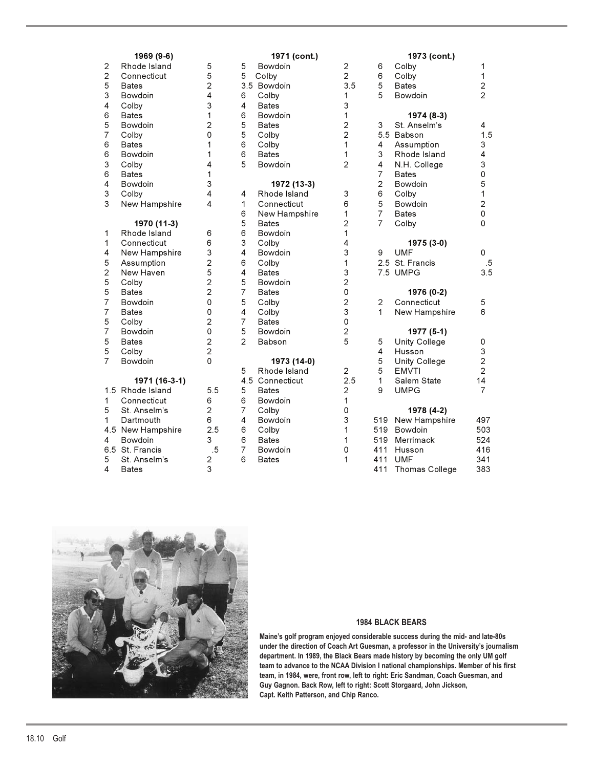| 22534657<br>6<br>6<br>3<br>6<br>4<br>$\frac{3}{3}$ | ′ ≀<br>Rhode Island<br>Connecticut<br>Bates<br>Bowdoin<br>Colby<br><b>Bates</b><br>Bowdoin<br>Colby<br><b>Bates</b><br>Bowdoin<br>Colby<br>Bates<br>Bowdoin<br>Colby<br>New Hampshire |
|----------------------------------------------------|---------------------------------------------------------------------------------------------------------------------------------------------------------------------------------------|
| 1<br>$\mathbf{1}$<br>452557757557                  | 1970 (11-3)<br>Rhode Island<br>Connecticut<br>New Hampshire<br>Assumption<br>New Haven<br>Colby<br>Bates<br>Bowdoin<br><b>Bates</b><br>Colby<br>Bowdoin<br>Bates<br>Colby<br>Bowdoin  |
| 1.5<br>1<br>5<br>1<br>4.5<br>4<br>6.5<br>5<br>Δ    | 1971 (16-3-1)<br>Rhode Island<br>Connecticut<br>St. Anselm's<br>Dartmouth<br>New Hampshire<br>Bowdoin<br>St. Francis<br>St. Anselm's<br>Rates.                                        |

|                | 1969 (9-6)        |                |                | 1971 (cont.)    |                |                | 1973 (cont.)          |                |
|----------------|-------------------|----------------|----------------|-----------------|----------------|----------------|-----------------------|----------------|
| 2              | Rhode Island      | 5              | 5              | Bowdoin         | 2              | 6              | Colby                 | 1              |
| $\overline{c}$ | Connecticut       | 5              | 5              | Colby           | $\overline{2}$ | 6              | Colby                 | 1              |
| 5              | <b>Bates</b>      | 2              |                | 3.5 Bowdoin     | 3.5            | 5              | <b>Bates</b>          | $\overline{c}$ |
| 3              | Bowdoin           | 4              | 6              | Colby           | 1              | 5              | Bowdoin               | $\overline{2}$ |
| 4              | Colby             | 3              | 4              | <b>Bates</b>    | 3              |                |                       |                |
| 6              | <b>Bates</b>      | 1              | 6              | <b>Bowdoin</b>  | 1              |                | 1974 (8-3)            |                |
| 5              | Bowdoin           | 2              | 5              | <b>Bates</b>    | $\overline{c}$ | 3              | St. Anselm's          | 4              |
| $\overline{7}$ | Colby             | 0              | 5              | Colby           | $\overline{c}$ |                | 5.5 Babson            | 1.5            |
| 6              | <b>Bates</b>      | 1              | 6              | Colby           | 1              | 4              | Assumption            | 3              |
| 6              | Bowdoin           | 1              | 6              | <b>Bates</b>    | 1              | 3              | Rhode Island          | 4              |
| 3              | Colby             | 4              | 5              | <b>Bowdoin</b>  | $\overline{2}$ | 4              | N.H. College          | 3              |
| 6              | <b>Bates</b>      | 1              |                |                 |                | $\overline{7}$ | <b>Bates</b>          | 0              |
| 4              | Bowdoin           | 3              |                | 1972 (13-3)     |                | $\overline{2}$ | Bowdoin               | 5              |
| 3              | Colby             | 4              | 4              | Rhode Island    | 3              | 6              | Colby                 | 1              |
| 3              | New Hampshire     | 4              | 1              | Connecticut     | 6              | 5              | Bowdoin               | $\overline{2}$ |
|                |                   |                | 6              | New Hampshire   | 1              | $\overline{7}$ | <b>Bates</b>          | 0              |
|                | 1970 (11-3)       |                | 5              | <b>Bates</b>    | $\overline{2}$ | $\overline{7}$ | Colby                 | 0              |
| 1              | Rhode Island      | 6              | 6              | Bowdoin         | 1              |                |                       |                |
| 1              | Connecticut       | 6              | 3              | Colby           | 4              |                | 1975 (3-0)            |                |
| 4              | New Hampshire     | 3              | 4              | Bowdoin         | 3              | 9              | <b>UMF</b>            | 0              |
| 5              | Assumption        | 2              | 6              | Colby           | 1              |                | 2.5 St. Francis       | .5             |
| $\overline{c}$ | New Haven         | 5              | 4              | <b>Bates</b>    | 3              |                | 7.5 UMPG              | 3.5            |
| 5              | Colby             | $\overline{c}$ | 5              | Bowdoin         | $\overline{c}$ |                |                       |                |
| 5              | <b>Bates</b>      | $\overline{c}$ | $\overline{7}$ | <b>Bates</b>    | 0              |                | 1976 (0-2)            |                |
| $\overline{7}$ | Bowdoin           | $\mathbf 0$    | 5              | Colby           | $\overline{c}$ | 2              | Connecticut           | 5              |
| 7              | <b>Bates</b>      | 0              | 4              | Colby           | 3              | $\mathbf{1}$   | New Hampshire         | 6              |
| 5              | Colby             | $\overline{2}$ | $\overline{7}$ | <b>Bates</b>    | 0              |                |                       |                |
| $\overline{7}$ | Bowdoin           | 0              | 5              | Bowdoin         | $\overline{c}$ |                | 1977 (5-1)            |                |
| 5              | <b>Bates</b>      | $\overline{2}$ | $\overline{2}$ | Babson          | 5              | 5              | Unity College         | 0              |
| 5              | Colby             | $\overline{c}$ |                |                 |                | 4              | Husson                | 3              |
| $\overline{7}$ | Bowdoin           | $\mathbf 0$    |                | 1973 (14-0)     |                | 5              | Unity College         | $\overline{c}$ |
|                |                   |                | 5              | Rhode Island    | $\overline{c}$ | 5              | <b>EMVTI</b>          | $\overline{2}$ |
|                | 1971 (16-3-1)     |                |                | 4.5 Connecticut | 2.5            | $\mathbf{1}$   | Salem State           | 14             |
|                | 1.5 Rhode Island  | 5.5            | 5              | <b>Bates</b>    | $\overline{2}$ | 9              | <b>UMPG</b>           | 7              |
| 1              | Connecticut       | 6              | 6              | Bowdoin         | 1              |                |                       |                |
| 5              | St. Anselm's      | $\overline{2}$ | $\overline{7}$ | Colby           | 0              |                | 1978 (4-2)            |                |
| 1              | Dartmouth         | 6              | 4              | Bowdoin         | 3              | 519            | New Hampshire         | 497            |
|                | 4.5 New Hampshire | 2.5            | 6              | Colby           | 1              | 519            | Bowdoin               | 503            |
| 4              | Bowdoin           | 3              | 6              | <b>Bates</b>    | 1              | 519            | Merrimack             | 524            |
|                | 6.5 St. Francis   | .5             | $\overline{7}$ | Bowdoin         | 0              | 411            | Husson                | 416            |
| 5              | St. Anselm's      | 2              | 6              | <b>Bates</b>    | 1              | 411            | <b>UMF</b>            | 341            |
| 4              | <b>Bates</b>      | 3              |                |                 |                | 411            | <b>Thomas College</b> | 383            |

| 6<br>6<br>$\frac{5}{5}$                                                               | Colby<br>Colby<br><b>Bates</b><br>Bowdoin                                                                                                                  | 1<br>$\frac{1}{1}$<br>$\frac{2}{2}$                 |
|---------------------------------------------------------------------------------------|------------------------------------------------------------------------------------------------------------------------------------------------------------|-----------------------------------------------------|
| 3<br>5.5<br>4<br>$\begin{array}{c} 3 \\ 4 \\ 7 \end{array}$<br>2657<br>$\overline{7}$ | 1974 (8-3)<br>St. Anselm's<br>Babson<br>Assumption<br>Rhode Island<br>N.H. College<br><b>Bates</b><br>Bowdoin<br>Colby<br>Bowdoin<br><b>Bates</b><br>Colby | 4<br>1.5<br>3<br>4<br>3 0 5 1<br>$\frac{2}{0}$<br>0 |
| 9<br>2.5<br>7.5                                                                       | 1975 (3-0)<br><b>UMF</b><br>St. Francis<br><b>UMPG</b>                                                                                                     | 0<br>.5<br>3.5                                      |
| $\begin{array}{c} 2 \\ 1 \end{array}$                                                 | 1976 (0-2)<br>Connecticut<br>New Hampshire                                                                                                                 | 5<br>6                                              |
| 5<br>4<br>5<br>5<br>$\mathbf{1}$<br>9                                                 | 1977 (5-1)<br>Unity College<br>Husson<br>Unity College<br><b>EMVTI</b><br>Salem State<br><b>UMPG</b>                                                       | 0<br>$\frac{3}{2}$<br>14<br>$\overline{7}$          |
| 519<br>519<br>519<br>411<br>411<br>411                                                | 1978 (4-2)<br>New Hampshire<br>Bowdoin<br>Merrimack<br>Husson<br><b>UMF</b><br><b>Thomas College</b>                                                       | 497<br>503<br>524<br>416<br>341<br>383              |



### **1984 BLACK BEARS**

**Maine's golf program enjoyed considerable success during the mid- and late-80s under the direction of Coach Art Guesman, a professor in the University's journalism department. In 1989, the Black Bears made history by becoming the only UM golf team to advance to the NCAA Division I national championships. Member of his first team, in 1984, were, front row, left to right: Eric Sandman, Coach Guesman, and Guy Gagnon. Back Row, left to right: Scott Storgaard, John Jickson, Capt. Keith Patterson, and Chip Ranco.**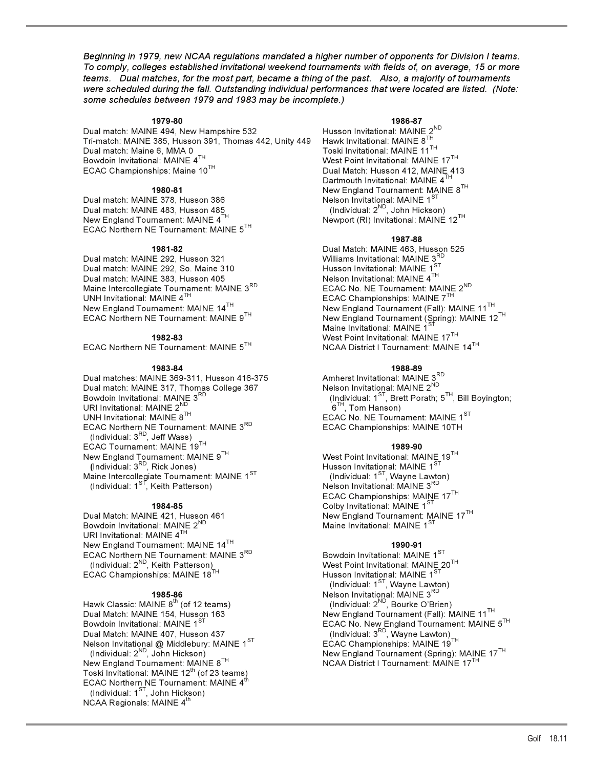*Beginning in 1979, new NCAA regulations mandated a higher number of opponents for Division I teams. To comply, colleges established invitational weekend tournaments with fields of, on average, 15 or more teams. Dual matches, for the most part, became a thing of the past. Also, a majority of tournaments were scheduled during the fall. Outstanding individual performances that were located are listed. (Note: some schedules between 1979 and 1983 may be incomplete.)*

**1979-80 1986-87**<br>IE 494, New Hampshire 532 **1986-87** Husson Invitational: MAINE 2<sup>ND</sup> Dual match: MAINE 494, New Hampshire 532 Husson Invitational: MAINE  $2^N$ <br>Tri-match: MAINE 385, Husson 391, Thomas 442, Unity 449 Hawk Invitational: MAINE 8<sup>TH</sup> Tri-match: MAINE 385, Husson 391, Thomas 442, Unity 449 Dual match: Maine 6, MMA 0 Toski Invitational: MAINE 11<sup>TH</sup><br>Bowdoin Invitational: MAINE 4<sup>TH</sup> Bowdoin Invitational: MAINE 4<sup>TH</sup>  $\sim$  West Point Invitational: MAINE 17<sup>TH</sup> ECAC Championships: Maine 10<sup>TH</sup> Dual Match: Husson 412, MAINE 41

Dual match: MAINE 483, Husson 485  $\hbox{\tt (Individual: 2^{ND}, John Hickson)}$ New England Tournament: MAINE 4 $^{\sf TH}$   $^{\sf H}$   $^{\sf H}$  Newport (RI) Invitational: MAINE 12 $^{\sf TH}$ ECAC Northern NE Tournament: MAINE  $5^{TH}$ 

Dual match: MAINE 292, Husson 321 Dual match: MAINE 292, So. Maine 310 **Husson Invitational: MAINE 1<sup>ST</sup>** Dual match: MAINE 383, Husson 405 Nelson Invitational: MAINE 4TH Maine Intercollegiate Tournament: MAINE 3<sup>RD</sup> UNH Invitational: MAINE 4<sup>TH</sup> UNH Invitational: MAINE 4<sup>TH</sup> ECAC Championships: MAINE 7<sup>TH</sup> ECAC Championships: MAINE 7<sup>TH</sup> EXAMPLE 2001, New England Tournament (Fall): New England Tournament (Fall):

ECAC Northern NE Tournament: MAINE  $5^{TH}$ 

**1983-84 1988-89**  Dual matches: MAINE 369-311, Husson 416-375 Amherst Invitational: MAINE 3<sup>RI</sup><br>Dual match: MAINE 317, Thomୁas College 367 Nelson Invitational: MAINE 2<sup>ND</sup> Dual match: MAINE 317, Thomas College 367<br>Bowdoin Invitational: MAINE 3<sup>RD</sup> URI Invitational: MAINE  $2^{ND}$ <br>UNH Invitational: MAINE  $8^{TH}$ ECAC Northern NE Tournament: MAINE 3<sup>RD</sup> ECAC Championships: MAINE 10TH (Individual:  $3<sup>RD</sup>$ , Jeff Wass) ECAC Tournament: MAINE 19TH **1989-90**  New England Tournament: MAINE 9 $^{\sf TH}$   $^{\sf TH}$  . West Point Invitational: MAINE 19 $^{\sf TH}$ **(**Individual: 3RD, Rick Jones) Husson Invitational: MAINE 1ST Maine Intercollegiate Tournament: MAINE 1 $^{\mathrm{ST}}$   $\hphantom{\mathrm{ST}}$  (Individual: 1 $^{\mathrm{ST}}$ , Wayne Lawton) (Individual: 1<sup>st</sup>, Keith Patterson) Nelson Invitational: MAINE 3<sup>RD</sup>

Bowdoin Invitational: MAINE 2<sup>ND</sup> URI Invitational: MAINE  $4^T$ New England Tournament: MAINE 14<sup>TH</sup><br>ECAC Northern NE Tournament: MAINE 3<sup>RD</sup> Bowdoin Invitational: MAINE 1<sup>ST</sup> ECAC Northern NE Tournament: MAINE 3RD ECAC Championships: MAINE 18TH Husson Inc. Championships: MAINE 18TH

Hawk Classic: MAINE  $8^{th}$  (of 12 teams) Dual Match: MAINE 407, Husson 437 (Individual: 3RD, Wayne Lawton) Nelson Invitational @ Middlebury: MAINE 1<sup>ST</sup><br>(Individual: 2<sup>ND</sup>, John Hickson) New England Tournament: MAINE 8<sup>TH</sup> Toski Invitational: MAINE 12<sup>th</sup> (of 23 teams) ECAC Northern NE Tournament: MAINE 4<sup>th</sup> (Individual:  $1^{ST}$ , John Hickson) NCAA Regionals: MAINE  $4^{\text{th}}$ 

Dual Match: Husson 412, MAINE 413 Dartmouth Invitational: MAINE 4<sup>TH</sup> **1980-81** New England Tournament: MAINE 8TH Nelson Invitational: MAINE  $1^{ST}$ <br>(Individual:  $2^{ND}$ , John Hickson)

### **1987-88**

**1981-82** Dual Match: MAINE 463, Husson 525 New England Tournament: MAINE  $14^{TH}$ <br>ECAC Northern NE Tournament: MAINE  $9^{TH}$ <br>New England Tournament (Spring): MAINE 12 New England Tournament (Spring): MAINE 12<sup>TH</sup> Maine Invitational: MAINE 1 **1982-83** West Point Invitational: MAINE 17TH

(Individual: 1 $\frac{3\pi}{2}$ , Brett Porath; 5<sup>TH</sup>, Bill Boyington; 6<sup>TH</sup>, Tom Hanson) ECAC No. NE Tournament: MAINE 1ST

Husson Invitational: MAINE  $1^{ST}$ <br>(Individual:  $1^{ST}$ , Wayne Lawton)<br>Nelson Invitational: MAINE  $3^{RD}$ <br>ECAC Championships: MAINE  $17^{TH}$ The discussion of the test of the test of the test of the test of test of test of test of test of test of test o<br>Mew England Tournament: M New England Tournament: MAINE 17<sup>TH</sup><br>Maine Invitational: MAINE 1<sup>ST</sup>

West Point Invitational: MAINE 20<sup>TH</sup><br>Husson Invitational: MAINE 1<sup>ST</sup> (Individual:  $1^{ST}$ , Wayne Lawton) **1985-86** Nelson Invitational: MAINE 3RD Dual Match: MAINE 154, Husson 163 New England Tournament (Fall): MAINE 11<sup>TH</sup><br>Bowdoin Invitational: MAINE 1<sup>ST</sup> National Bowdoin Invitational: MAINE Bowdoin Invitational: MAINE 1 $^{\mathrm{ST}}$   $^{\mathrm{H}}$  example the second of the ECAC No. New England Tournament: MAINE 5 $^{\mathrm{TH}}$ New England Tournament (Spring): MAINE 17<sup>TH</sup><br>NCAA District I Tournament: MAINE 17<sup>TH</sup>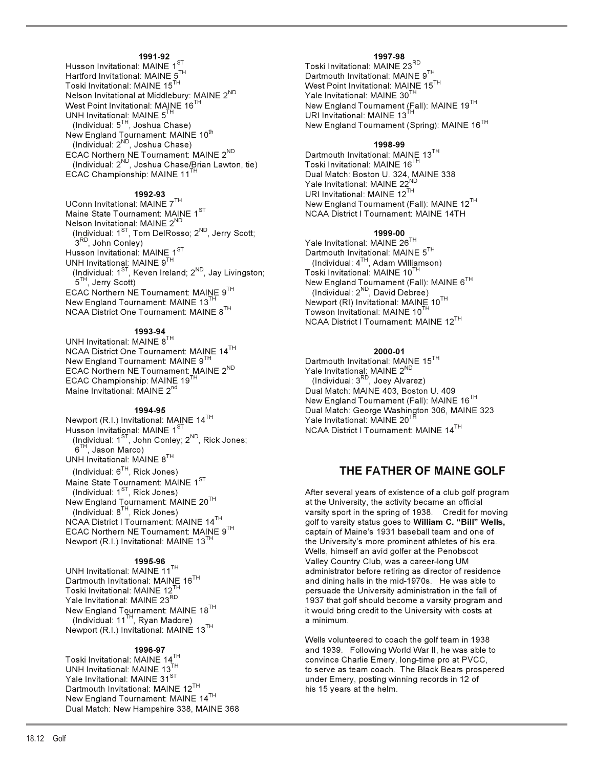Husson Invitational: MAINE 1<sup>ST</sup><br>Hartford Invitational: MAINE 5<sup>TH</sup> Hartford Invitational: MAINE 5<sup>TH</sup> Dartmouth Invitational: MAINE 9<sup>TH</sup><br>Toski Invitational: MAINE 15<sup>TH</sup> Dartmouth Invitational: MAINE 15<sup>T</sup> Nelson Invitational at Middlebury: MAINE 2<sup>ND</sup><br>West Point Invitational: MAINE 16<sup>TH</sup> UNH Invitational: MAINE  $5^{TH}$ <br>(Individual:  $5^{TH}$ , Joshua Chase) New England Tournament: MAINE 10<sup>th</sup> (Individual: 2<sup>ND</sup>, Joshua Chase)<br>CAC Northern NE Tournament: MAINE 2<sup>ND</sup> Dartmouth Invitational: MAINE 13<sup>TH</sup> ECAC Northern NE Tournament: MAINE 2<sup>ND</sup> Dartmouth Invitational: MAINE 13<sup>TH</sup> (Individual: 2<sup>ND</sup>, Joshua Chase/Brian Lawton, tie) Toski Invitational: MAINE 16<sup>TH</sup>

UConn Invitational: MAINE 7<sup>TH</sup> New England Tournament (Fall): MAINE 12<sup>TH</sup> New England Tournament (Fall): MAINE 12<sup>TH</sup><br>Maine State Tournament: MA<u>I</u>NE 1<sup>ST</sup> New York And New York District I Tournament: MAINE 14TH Nelson Invitational: MAINE 2<sup>ND</sup> (Individual: 1<sup>ST</sup>, Tom DelRosso; 2<sup>ND</sup>, Jerry Scott; **1999-00**<br>1999-00 <sup>3RD</sup>, John Conley) **1999-00 1999-00 1999-00 1999-00 1999-00**  $3^{18}$ , John Conley)<br>Husson Invitational: MAINE  $1^{8}$ <br>Husson Invitational: MAINE  $1^{8}$ UNH Invitational: MAINE 9 $^{\sf TH}$  , and the set of the control of the dividual: 4 $^{\sf TH}$ , Adam Williamson) (Individual: 1 $^{\rm ST}$ , Keven Ireland; 2 $^{\sf ND}$ , Jay Livingston;  $^{\sf T}$  Toski Invitational: MAINE 10 $^{\sf TH}$  5TH, Jerry Scott) New England Tournament (Fall): MAINE 6TH ECAC Northern NE Tournament: MAINE 9TH New England Tournament: MAINE  $13^{TH}$ <br>Newport (RI) Invitational: MAINE  $10^{TH}$ <br>NCAA District One Tournament: MAINE  $8^{TH}$  Towson Invitational: MAINE  $10^{TH}$ NCAA District One Tournament: MAINE 8TH

### **1993-94**

UNH Invitational: MAINE 8TH NCAA District One Tournament: MAINE 14TH **2000-01**  ECAC Northern NE Tournament: MAINE 2<sup>ND</sup> Yale Invitational: MAINE 2<sup>ND</sup><br>ECAC Championship: MAINE 19<sup>TH</sup> (Individual: 3<sup>RD</sup>, Joey Alvarez) ECAC Championship: MAINE 19<sup>TH</sup><br>Maine Invitational: MAINE 2<sup>nd</sup>

Newport (R.I.) Invitational: MAINE 14<sup>TH</sup><br>Husson Invitational: MAINE 1<sup>ST</sup> (Individual: 1<sup>ST</sup>, John Conley; 2<sup>ND</sup>, Rick Jones;  $6^{TH}$ , Jason Marco) UNH Invitational: MAINE  $8^{TH}$ <br>(Individual:  $6^{TH}$ , Rick Jones) Maine State Tournament: MAINE  $1^{ST}$ <br>(Individual:  $1^{ST}$ , Rick Jones)

New England Tournament: MAINE  $18^{TH}$  it would brin (Individual:  $11^{TH}$ , Ryan Madore) a minimum. Newport (R.I.) Invitational: MAINE 13<sup>TH</sup>

Dartmouth Invitational: MAINE  $12^{TH}$  his 15 years at the helm. New England Tournament: MAINE 14TH Dual Match: New Hampshire 338, MAINE 368

**1991-92 1997-98** West Point Invitational: MAINE 15<sup>TH</sup><br>Yale Invitational: MAINE 30<sup>TH</sup> New England Tournament (Fall): MAINE 19<sup>TH</sup><br>URI Invitational: MAINE 13<sup>TH</sup> New England Tournament (Spring): MAINE 16<sup>TH</sup>

ECAC Championship: MAINE 11<sup>TH</sup> Dual Match: Boston U. 324, MAINE 338 Yale Invitational: MAINE 22<sup>ND</sup> r are invitational: MAINE 22 **1992-93**<br>URI Invitational: MAINE 12<sup>TH</sup> URI Invitational: MAINE 12<sup>TH</sup> New England Tournament (Fa NCAA District I Tournament: MAINE 14TH

Dartmouth Invitational: MAINE  $5^{TH}$ <br>(Individual: 4<sup>TH</sup>, Adam Williamson) NCAA District I Tournament: MAINE 12TH

Dartmouth Invitational: MAINE 15<sup>TH</sup><br>Yale Invitational: MAINE 2<sup>ND</sup> Dual Match: MAINE 403, Boston U. 409 New England Tournament (Fall): MAINE 16<sup>TH</sup><br>Dual Match: George Washington 306. MAINE Dual Match: George Washington 306, MAINE 323<br>Yale Invitational: MAINE 20<sup>TH</sup> NCAA District I Tournament: MAINE 14TH

### **THE FATHER OF MAINE GOLF**

After several years of existence of a club golf program New England Tournament: MAINE 20<sup>TH</sup> at the University, the activity became an official<br>(Individual: 8<sup>TH</sup>, Rick Jones) at the University, the activity became an official<br>varsity sport in the spring of 1938. Credit for n (Individual: 8<sup>TH</sup>, Rick Jones) varsity sport in the spring of 1938. Credit for moving<br>NCAA District I Tournament: MAINE 14<sup>TH</sup> example of the varsity status goes to **William C. "Bill" Wells,** golf to varsity status goes to William C. "Bill" Wells, ECAC Northern NE Tournament: MAINE 9<sup>TH</sup> captain of Maine's 1931 baseball team and one of Newport (R.I.) Invitational: MAINE 13<sup>TH</sup> the University's more prominent athletes of his era. the University's more prominent athletes of his era. Wells, himself an avid golfer at the Penobscot **1995-96** Valley Country Club, was a career-long UM UNH Invitational: MAINE 11<sup>TH</sup> and the same of the saministrator before retiring as director of residence before retiring the mid-1970s. He was able to and thing halls in the mid-1970s. He was able to Dartmouth Invitational: MAINE 16<sup>TH</sup> and dining halls in the mid-1970s. He was able to moski Invitational: MAINE 12<sup>TH</sup> and dining halls in the mid-1970s. He was able to moski Invitational: MAINE 12<sup>TH</sup> Toski Invitational: MAINE 12<sup>TH</sup> persuade the University administration in the fall of Yale Invitational: MAINE 23<sup>RD</sup> 1937 that golf should become a varsity program and 1937 that golf should become a varsity program and it would bring credit to the University with costs at

Wells volunteered to coach the golf team in 1938 **1996-97 1996-97 1996-97 and 1939.** Following World War II, he was able to<br>Convince Charlie Emery, long-time pro at PVCC, Toski Invitational: MAINE 14<sup>TH</sup> convince Charlie Emery, long-time pro at PVCC,<br>UNH Invitational: MAINE 13<sub>.</sub> TH<sub>ar</sub> converse to serve as team coach. The Black Bears prosp UNH Invitational: MAINE 13<sup>TH</sup> to serve as team coach. The Black Bears prospered Yale Invitational: MAINE 31<sup>ST</sup> to serve as team coach. The Black Bears prospered Yale Invitational: MAINE 31<sup>ST</sup> under Emery, posting winning records in 12 of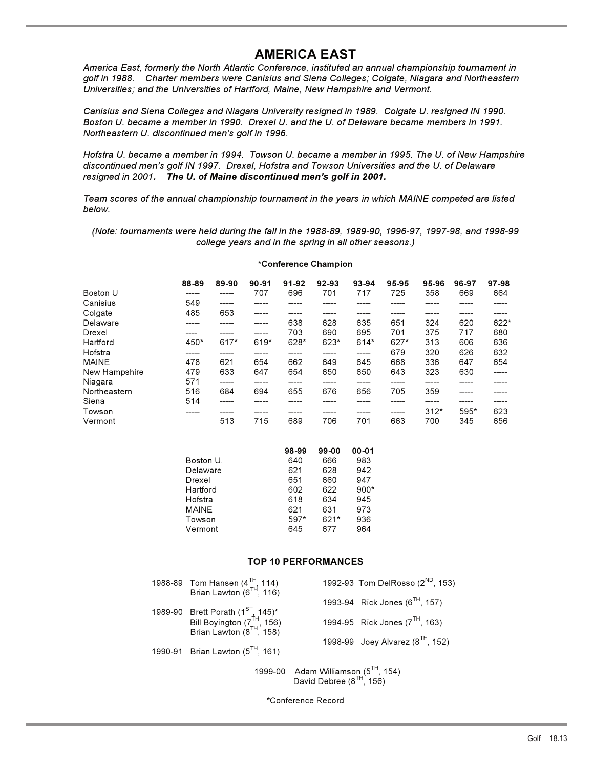## **AMERICA EAST**

*America East, formerly the North Atlantic Conference, instituted an annual championship tournament in golf in 1988. Charter members were Canisius and Siena Colleges; Colgate, Niagara and Northeastern Universities; and the Universities of Hartford, Maine, New Hampshire and Vermont.*

*Canisius and Siena Colleges and Niagara University resigned in 1989. Colgate U. resigned IN 1990. Boston U. became a member in 1990. Drexel U. and the U. of Delaware became members in 1991. Northeastern U. discontinued men's golf in 1996.*

*Hofstra U. became a member in 1994. Towson U. became a member in 1995. The U. of New Hampshire discontinued men's golf IN 1997. Drexel, Hofstra and Towson Universities and the U. of Delaware resigned in 2001. The U. of Maine discontinued men's golf in 2001.*

*Team scores of the annual championship tournament in the years in which MAINE competed are listed below.*

*(Note: tournaments were held during the fall in the 1988-89, 1989-90, 1996-97, 1997-98, and 1998-99 college years and in the spring in all other seasons.)*

### **\*Conference Champion**

|               | 88-89 | 89-90 | $90 - 91$ | 91-92 | 92-93 | 93-94 | 95-95 | 95-96  | 96-97 | 97-98  |
|---------------|-------|-------|-----------|-------|-------|-------|-------|--------|-------|--------|
| Boston U      |       | ____  | 707       | 696   | 701   | 717   | 725   | 358    | 669   | 664    |
| Canisius      | 549   | ----- |           |       |       |       |       |        |       |        |
| Colgate       | 485   | 653   | -----     | ____  | ____  |       | ____  | -----  | _____ | _____  |
| Delaware      |       |       |           | 638   | 628   | 635   | 651   | 324    | 620   | $622*$ |
| Drexel        |       |       |           | 703   | 690   | 695   | 701   | 375    | 717   | 680    |
| Hartford      | 450*  | 617*  | 619*      | 628*  | 623*  | 614*  | 627*  | 313    | 606   | 636    |
| Hofstra       |       |       |           |       |       | ----- | 679   | 320    | 626   | 632    |
| <b>MAINE</b>  | 478   | 621   | 654       | 662   | 649   | 645   | 668   | 336    | 647   | 654    |
| New Hampshire | 479   | 633   | 647       | 654   | 650   | 650   | 643   | 323    | 630   | -----  |
| Niagara       | 571   | ----- |           | _____ |       |       |       |        |       |        |
| Northeastern  | 516   | 684   | 694       | 655   | 676   | 656   | 705   | 359    | ----- |        |
| Siena         | 514   |       |           |       |       |       |       |        | ----- |        |
| Towson        |       |       |           |       |       |       | ----- | $312*$ | 595*  | 623    |
| Vermont       |       | 513   | 715       | 689   | 706   | 701   | 663   | 700    | 345   | 656    |

|           | 98-99 | 99-00  | $00 - 01$ |
|-----------|-------|--------|-----------|
| Boston U. | 640   | 666    | 983       |
| Delaware  | 621   | 628    | 942       |
| Drexel    | 651   | 660    | 947       |
| Hartford  | 602   | 622    | $900*$    |
| Hofstra   | 618   | 634    | 945       |
| MAINE     | 621   | 631    | 973       |
| Towson    | 597*  | $621*$ | 936       |
| Vermont   | 645   | 677    | 964       |

### **TOP 10 PERFORMANCES**

| 1988-89 Tom Hansen $(4^{TH}, 114)$<br>Brian Lawton $(6^{TH}, 116)$                                                              |                                         | 1992-93 Tom DelRosso (2 <sup>ND</sup> , 153) |
|---------------------------------------------------------------------------------------------------------------------------------|-----------------------------------------|----------------------------------------------|
|                                                                                                                                 |                                         | 1993-94 Rick Jones ( $6^{TH}$ , 157)         |
| 1989-90 Brett Porath (1 <sup>ST</sup> , 145)*<br>Bill Boyington (7 <sup>TH</sup> , 156)<br>Brian Lawton (8 <sup>TH</sup> , 158) |                                         | 1994-95 Rick Jones $(7^{TH}, 163)$           |
| 1990-91 Brian Lawton $(5^{TH}, 161)$                                                                                            |                                         | 1998-99 Joey Alvarez ( $8^{TH}$ , 152)       |
|                                                                                                                                 | 1999-00 Adam Williamson $(5^{TH}, 154)$ |                                              |

David Debree ( $8^{TH}$ , 156)

\*Conference Record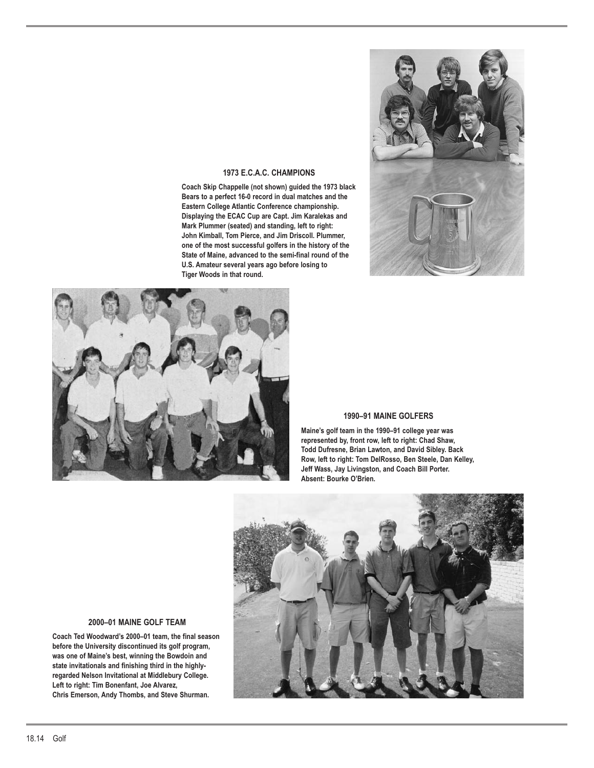

### **1973 E.C.A.C. CHAMPIONS**

**Coach Skip Chappelle (not shown) guided the 1973 black Bears to a perfect 16-0 record in dual matches and the Eastern College Atlantic Conference championship. Displaying the ECAC Cup are Capt. Jim Karalekas and Mark Plummer (seated) and standing, left to right: John Kimball, Tom Pierce, and Jim Driscoll. Plummer, one of the most successful golfers in the history of the State of Maine, advanced to the semi-final round of the U.S. Amateur several years ago before losing to Tiger Woods in that round.**



### **1990–91 MAINE GOLFERS**

**Maine's golf team in the 1990–91 college year was represented by, front row, left to right: Chad Shaw, Todd Dufresne, Brian Lawton, and David Sibley. Back Row, left to right: Tom DelRosso, Ben Steele, Dan Kelley, Jeff Wass, Jay Livingston, and Coach Bill Porter. Absent: Bourke O'Brien.**



### **2000–01 MAINE GOLF TEAM**

**Coach Ted Woodward's 2000–01 team, the final season before the University discontinued its golf program, was one of Maine's best, winning the Bowdoin and state invitationals and finishing third in the highlyregarded Nelson Invitational at Middlebury College. Left to right: Tim Bonenfant, Joe Alvarez, Chris Emerson, Andy Thombs, and Steve Shurman.**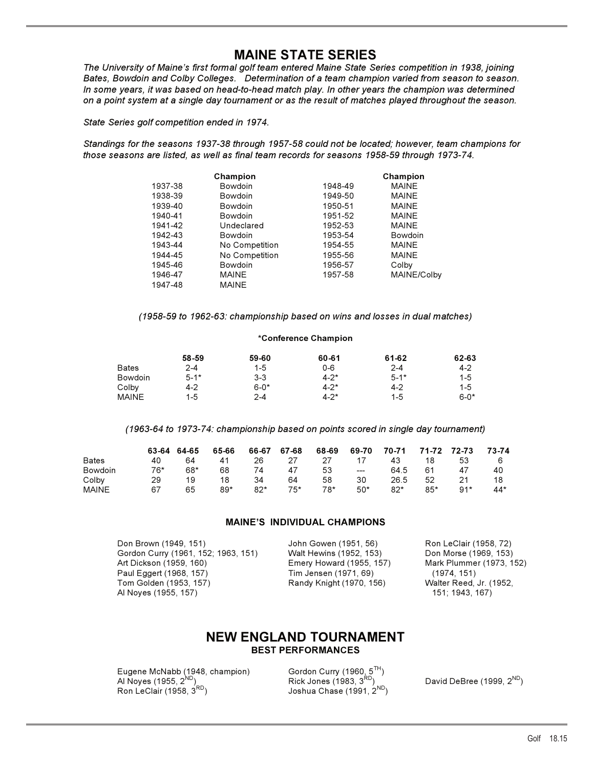## **MAINE STATE SERIES**

*The University of Maine's first formal golf team entered Maine State Series competition in 1938, joining Bates, Bowdoin and Colby Colleges. Determination of a team champion varied from season to season. In some years, it was based on head-to-head match play. In other years the champion was determined on a point system at a single day tournament or as the result of matches played throughout the season.*

*State Series golf competition ended in 1974.*

*Standings for the seasons 1937-38 through 1957-58 could not be located; however, team champions for those seasons are listed, as well as final team records for seasons 1958-59 through 1973-74.*

|         | Champion       |         | Champion     |
|---------|----------------|---------|--------------|
| 1937-38 | Bowdoin        | 1948-49 | <b>MAINE</b> |
| 1938-39 | Bowdoin        | 1949-50 | <b>MAINE</b> |
| 1939-40 | Bowdoin        | 1950-51 | <b>MAINE</b> |
| 1940-41 | Bowdoin        | 1951-52 | <b>MAINE</b> |
| 1941-42 | Undeclared     | 1952-53 | <b>MAINE</b> |
| 1942-43 | Bowdoin        | 1953-54 | Bowdoin      |
| 1943-44 | No Competition | 1954-55 | <b>MAINE</b> |
| 1944-45 | No Competition | 1955-56 | <b>MAINE</b> |
| 1945-46 | Bowdoin        | 1956-57 | Colby        |
| 1946-47 | <b>MAINE</b>   | 1957-58 | MAINE/Colby  |
| 1947-48 | <b>MAINE</b>   |         |              |

*(1958-59 to 1962-63: championship based on wins and losses in dual matches)* 

### **\*Conference Champion**

|              | 58-59    | 59-60    | 60-61     | 61-62    | 62-63    |
|--------------|----------|----------|-----------|----------|----------|
| <b>Bates</b> | $2 - 4$  | $1 - 5$  | $0 - 6$   | $2 - 4$  | $4-2$    |
| Bowdoin      | $5 - 1*$ | $3 - 3$  | $4 - 2^*$ | $5 - 1*$ | $1 - 5$  |
| Colbv        | 4-2      | $6 - 0*$ | $4 - 2^*$ | 4-2      | $1 - 5$  |
| <b>MAINE</b> | 1-5      | $2 - 4$  | $4 - 2^*$ | $1 - 5$  | $6 - 0*$ |

*(1963-64 to 1973-74: championship based on points scored in single day tournament)* 

|                | 63-64 | 64-65 | 65-66 | 66-67 | 67-68 | 68-69 | 69-70         | 70-71 | 71-72 72-73 |       | 73-74 |
|----------------|-------|-------|-------|-------|-------|-------|---------------|-------|-------------|-------|-------|
| <b>Bates</b>   | 40    | 64    | 41    | 26    | -27   | 27    | 17            | 43    | 18          | 53    | 6     |
| <b>Bowdoin</b> | 76*   | 68*   | 68    | 74    | 47    | 53    | $\frac{1}{2}$ | 64.5  | 61          | 47    | 40    |
| Colbv          | 29    | 19    | 18    | 34    | 64    | 58    | 30            | 26.5  | 52          | 21    | 18    |
| MAINE          | 67    | 65    | $89*$ | 82*   | 75*   | 78*   | $50*$         | $82*$ | 85*         | $Q1*$ | $44*$ |

### **MAINE'S INDIVIDUAL CHAMPIONS**

Don Brown (1949, 151) John Gowen (1951, 56) Ron LeClair (1958, 72) Gordon Curry (1961, 152; 1963, 151) Art Dickson (1959, 160) Emery Howard (1955, 157) Mark Plummer (1973, 152) Paul Eggert (1968, 157) Tim Jensen (1971, 69) (1974, 151) Tom Golden (1953, 157) Randy Knight (1970, 156) Walter Reed, Jr. (1952, Al Noyes (1955, 157) 2012 151; 1943, 167)

### **NEW ENGLAND TOURNAMENT BEST PERFORMANCES**

Eugene McNabb (1948, champion) Gordon Curry (1960<u>, 5</u><sup>TH</sup>) Al Noyes (1955, 2<sup>ND</sup>) Rick Jones (1983, 3<sup>RD</sup>) David DeBree (1999, 2<sup>ND</sup>)  $\overline{R}$  Al Noyes (1955,  $2^{ND}$ )<br>
Ron LeClair (1958,  $3^{RD}$ )<br>  $\overline{R}$  Joshua Chase (1991,  $2^{ND}$ )